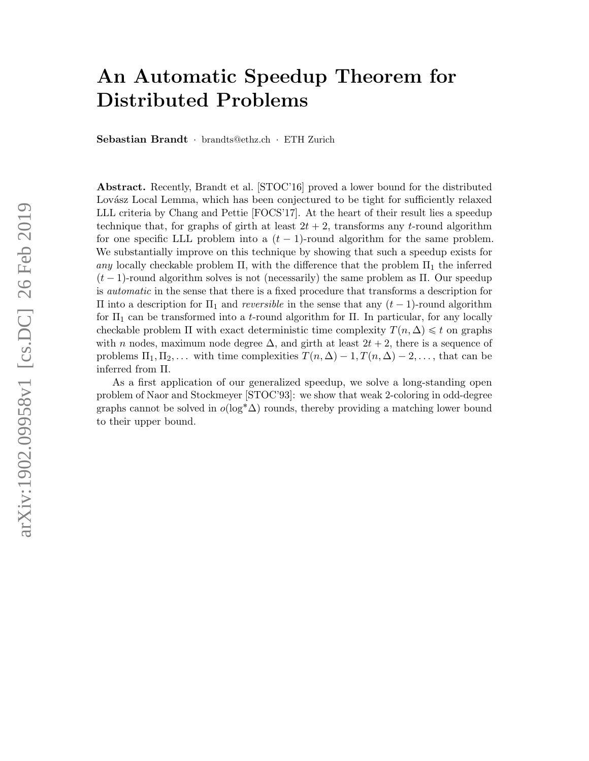# <span id="page-0-0"></span>An Automatic Speedup Theorem for Distributed Problems

Sebastian Brandt · brandts@ethz.ch · ETH Zurich

Abstract. Recently, Brandt et al. [STOC'16] proved a lower bound for the distributed Lovász Local Lemma, which has been conjectured to be tight for sufficiently relaxed LLL criteria by Chang and Pettie [FOCS'17]. At the heart of their result lies a speedup technique that, for graphs of girth at least  $2t + 2$ , transforms any t-round algorithm for one specific LLL problem into a  $(t - 1)$ -round algorithm for the same problem. We substantially improve on this technique by showing that such a speedup exists for any locally checkable problem  $\Pi$ , with the difference that the problem  $\Pi_1$  the inferred  $(t-1)$ -round algorithm solves is not (necessarily) the same problem as Π. Our speedup is automatic in the sense that there is a fixed procedure that transforms a description for Π into a description for  $\Pi_1$  and *reversible* in the sense that any  $(t - 1)$ -round algorithm for  $\Pi_1$  can be transformed into a t-round algorithm for  $\Pi$ . In particular, for any locally checkable problem  $\Pi$  with exact deterministic time complexity  $T(n, \Delta) \leq t$  on graphs with n nodes, maximum node degree  $\Delta$ , and girth at least  $2t + 2$ , there is a sequence of problems  $\Pi_1, \Pi_2, \ldots$  with time complexities  $T(n, \Delta) - 1, T(n, \Delta) - 2, \ldots$ , that can be inferred from Π.

As a first application of our generalized speedup, we solve a long-standing open problem of Naor and Stockmeyer [STOC'93]: we show that weak 2-coloring in odd-degree graphs cannot be solved in  $o(\log^* \Delta)$  rounds, thereby providing a matching lower bound to their upper bound.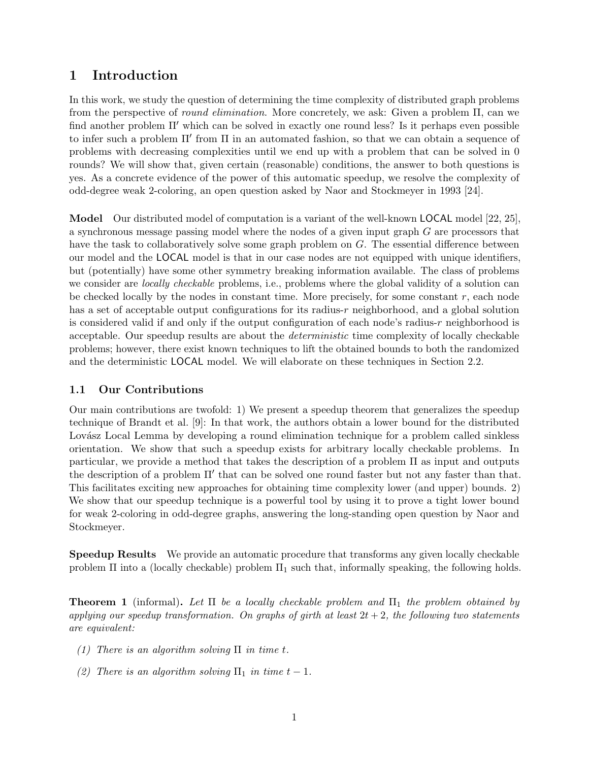# 1 Introduction

In this work, we study the question of determining the time complexity of distributed graph problems from the perspective of *round elimination*. More concretely, we ask: Given a problem  $\Pi$ , can we find another problem  $\Pi'$  which can be solved in exactly one round less? Is it perhaps even possible to infer such a problem  $\Pi'$  from  $\Pi$  in an automated fashion, so that we can obtain a sequence of problems with decreasing complexities until we end up with a problem that can be solved in 0 rounds? We will show that, given certain (reasonable) conditions, the answer to both questions is yes. As a concrete evidence of the power of this automatic speedup, we resolve the complexity of odd-degree weak 2-coloring, an open question asked by Naor and Stockmeyer in 1993 [\[24\]](#page-33-0).

Model Our distributed model of computation is a variant of the well-known LOCAL model [\[22,](#page-33-1) [25\]](#page-33-2), a synchronous message passing model where the nodes of a given input graph G are processors that have the task to collaboratively solve some graph problem on G. The essential difference between our model and the LOCAL model is that in our case nodes are not equipped with unique identifiers, but (potentially) have some other symmetry breaking information available. The class of problems we consider are *locally checkable* problems, i.e., problems where the global validity of a solution can be checked locally by the nodes in constant time. More precisely, for some constant  $r$ , each node has a set of acceptable output configurations for its radius-r neighborhood, and a global solution is considered valid if and only if the output configuration of each node's radius-r neighborhood is acceptable. Our speedup results are about the deterministic time complexity of locally checkable problems; however, there exist known techniques to lift the obtained bounds to both the randomized and the deterministic LOCAL model. We will elaborate on these techniques in Section [2.2.](#page-4-0)

## 1.1 Our Contributions

Our main contributions are twofold: 1) We present a speedup theorem that generalizes the speedup technique of Brandt et al. [\[9\]](#page-32-0): In that work, the authors obtain a lower bound for the distributed Lovász Local Lemma by developing a round elimination technique for a problem called sinkless orientation. We show that such a speedup exists for arbitrary locally checkable problems. In particular, we provide a method that takes the description of a problem Π as input and outputs the description of a problem  $\Pi'$  that can be solved one round faster but not any faster than that. This facilitates exciting new approaches for obtaining time complexity lower (and upper) bounds. 2) We show that our speedup technique is a powerful tool by using it to prove a tight lower bound for weak 2-coloring in odd-degree graphs, answering the long-standing open question by Naor and Stockmeyer.

Speedup Results We provide an automatic procedure that transforms any given locally checkable problem  $\Pi$  into a (locally checkable) problem  $\Pi_1$  such that, informally speaking, the following holds.

<span id="page-1-0"></span>**Theorem 1** (informal). Let  $\Pi$  be a locally checkable problem and  $\Pi_1$  the problem obtained by applying our speedup transformation. On graphs of girth at least  $2t + 2$ , the following two statements are equivalent:

- (1) There is an algorithm solving  $\Pi$  in time t.
- (2) There is an algorithm solving  $\Pi_1$  in time  $t 1$ .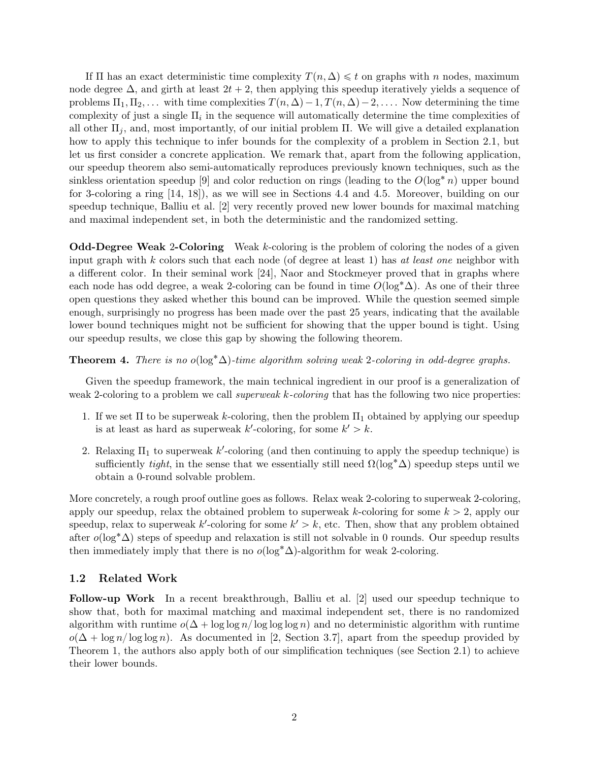If  $\Pi$  has an exact deterministic time complexity  $T(n, \Delta) \leq t$  on graphs with n nodes, maximum node degree  $\Delta$ , and girth at least  $2t + 2$ , then applying this speedup iteratively yields a sequence of problems  $\Pi_1, \Pi_2, \ldots$  with time complexities  $T(n, \Delta) - 1, T(n, \Delta) - 2, \ldots$ . Now determining the time complexity of just a single  $\Pi_i$  in the sequence will automatically determine the time complexities of all other  $\Pi_i$ , and, most importantly, of our initial problem  $\Pi$ . We will give a detailed explanation how to apply this technique to infer bounds for the complexity of a problem in Section [2.1,](#page-3-0) but let us first consider a concrete application. We remark that, apart from the following application, our speedup theorem also semi-automatically reproduces previously known techniques, such as the sinkless orientation speedup [\[9\]](#page-32-0) and color reduction on rings (leading to the  $O(\log^* n)$  upper bound for 3-coloring a ring [\[14,](#page-32-1) [18\]](#page-33-3)), as we will see in Sections [4.4](#page-16-0) and [4.5.](#page-18-0) Moreover, building on our speedup technique, Balliu et al. [\[2\]](#page-32-2) very recently proved new lower bounds for maximal matching and maximal independent set, in both the deterministic and the randomized setting.

Odd-Degree Weak 2-Coloring Weak k-coloring is the problem of coloring the nodes of a given input graph with k colors such that each node (of degree at least 1) has at least one neighbor with a different color. In their seminal work [\[24\]](#page-33-0), Naor and Stockmeyer proved that in graphs where each node has odd degree, a weak 2-coloring can be found in time  $O(\log^* \Delta)$ . As one of their three open questions they asked whether this bound can be improved. While the question seemed simple enough, surprisingly no progress has been made over the past 25 years, indicating that the available lower bound techniques might not be sufficient for showing that the upper bound is tight. Using our speedup results, we close this gap by showing the following theorem.

**Theorem 4.** There is no o( $\log^* \Delta$ )-time algorithm solving weak 2-coloring in odd-degree graphs.

Given the speedup framework, the main technical ingredient in our proof is a generalization of weak 2-coloring to a problem we call superweak k-coloring that has the following two nice properties:

- 1. If we set  $\Pi$  to be superweak k-coloring, then the problem  $\Pi_1$  obtained by applying our speedup is at least as hard as superweak  $k'$ -coloring, for some  $k' > k$ .
- 2. Relaxing  $\Pi_1$  to superweak k'-coloring (and then continuing to apply the speedup technique) is sufficiently tight, in the sense that we essentially still need  $\Omega(\log^*\Delta)$  speedup steps until we obtain a 0-round solvable problem.

More concretely, a rough proof outline goes as follows. Relax weak 2-coloring to superweak 2-coloring, apply our speedup, relax the obtained problem to superweak k-coloring for some  $k > 2$ , apply our speedup, relax to superweak k'-coloring for some  $k' > k$ , etc. Then, show that any problem obtained after  $o(\log^* \Delta)$  steps of speedup and relaxation is still not solvable in 0 rounds. Our speedup results then immediately imply that there is no  $o(\log^* \Delta)$ -algorithm for weak 2-coloring.

#### 1.2 Related Work

Follow-up Work In a recent breakthrough, Balliu et al. [\[2\]](#page-32-2) used our speedup technique to show that, both for maximal matching and maximal independent set, there is no randomized algorithm with runtime  $o(\Delta + \log \log n / \log \log n)$  and no deterministic algorithm with runtime  $o(\Delta + \log n/\log \log n)$ . As documented in [\[2,](#page-32-2) Section 3.7], apart from the speedup provided by Theorem [1,](#page-1-0) the authors also apply both of our simplification techniques (see Section [2.1\)](#page-3-0) to achieve their lower bounds.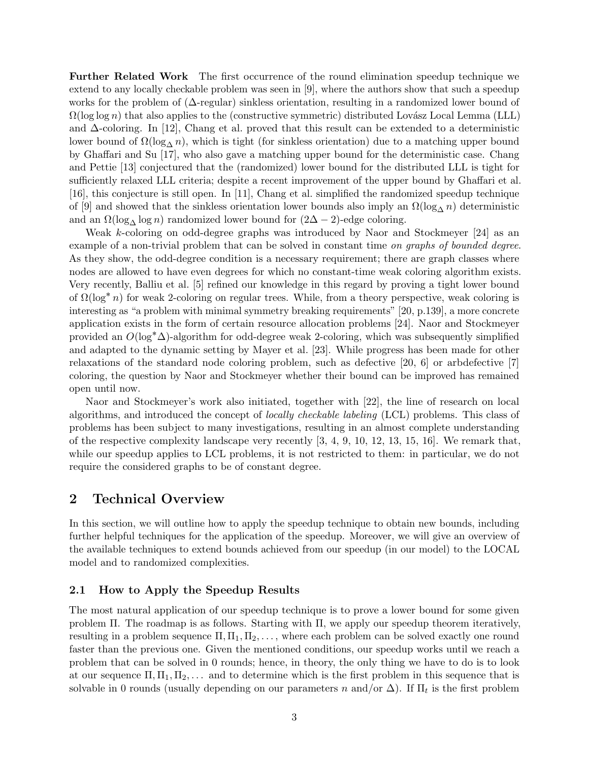Further Related Work The first occurrence of the round elimination speedup technique we extend to any locally checkable problem was seen in [\[9\]](#page-32-0), where the authors show that such a speedup works for the problem of (∆-regular) sinkless orientation, resulting in a randomized lower bound of  $\Omega(\log \log n)$  that also applies to the (constructive symmetric) distributed Lovász Local Lemma (LLL) and  $\Delta$ -coloring. In [\[12\]](#page-32-3), Chang et al. proved that this result can be extended to a deterministic lower bound of  $\Omega(\log_\Lambda n)$ , which is tight (for sinkless orientation) due to a matching upper bound by Ghaffari and Su [\[17\]](#page-33-4), who also gave a matching upper bound for the deterministic case. Chang and Pettie [\[13\]](#page-32-4) conjectured that the (randomized) lower bound for the distributed LLL is tight for sufficiently relaxed LLL criteria; despite a recent improvement of the upper bound by Ghaffari et al. [\[16\]](#page-33-5), this conjecture is still open. In [\[11\]](#page-32-5), Chang et al. simplified the randomized speedup technique of [\[9\]](#page-32-0) and showed that the sinkless orientation lower bounds also imply an  $\Omega(\log_{\Lambda} n)$  deterministic and an  $\Omega(\log_{\Lambda} \log n)$  randomized lower bound for  $(2\Delta - 2)$ -edge coloring.

Weak k-coloring on odd-degree graphs was introduced by Naor and Stockmeyer [\[24\]](#page-33-0) as an example of a non-trivial problem that can be solved in constant time on graphs of bounded degree. As they show, the odd-degree condition is a necessary requirement; there are graph classes where nodes are allowed to have even degrees for which no constant-time weak coloring algorithm exists. Very recently, Balliu et al. [\[5\]](#page-32-6) refined our knowledge in this regard by proving a tight lower bound of  $\Omega(\log^* n)$  for weak 2-coloring on regular trees. While, from a theory perspective, weak coloring is interesting as "a problem with minimal symmetry breaking requirements" [\[20,](#page-33-6) p.139], a more concrete application exists in the form of certain resource allocation problems [\[24\]](#page-33-0). Naor and Stockmeyer provided an  $O(\log^* \Delta)$ -algorithm for odd-degree weak 2-coloring, which was subsequently simplified and adapted to the dynamic setting by Mayer et al. [\[23\]](#page-33-7). While progress has been made for other relaxations of the standard node coloring problem, such as defective [\[20,](#page-33-6) [6\]](#page-32-7) or arbdefective [\[7\]](#page-32-8) coloring, the question by Naor and Stockmeyer whether their bound can be improved has remained open until now.

Naor and Stockmeyer's work also initiated, together with [\[22\]](#page-33-1), the line of research on local algorithms, and introduced the concept of locally checkable labeling (LCL) problems. This class of problems has been subject to many investigations, resulting in an almost complete understanding of the respective complexity landscape very recently  $[3, 4, 9, 10, 12, 13, 15, 16]$  $[3, 4, 9, 10, 12, 13, 15, 16]$  $[3, 4, 9, 10, 12, 13, 15, 16]$  $[3, 4, 9, 10, 12, 13, 15, 16]$  $[3, 4, 9, 10, 12, 13, 15, 16]$  $[3, 4, 9, 10, 12, 13, 15, 16]$  $[3, 4, 9, 10, 12, 13, 15, 16]$  $[3, 4, 9, 10, 12, 13, 15, 16]$  $[3, 4, 9, 10, 12, 13, 15, 16]$  $[3, 4, 9, 10, 12, 13, 15, 16]$  $[3, 4, 9, 10, 12, 13, 15, 16]$  $[3, 4, 9, 10, 12, 13, 15, 16]$  $[3, 4, 9, 10, 12, 13, 15, 16]$  $[3, 4, 9, 10, 12, 13, 15, 16]$  $[3, 4, 9, 10, 12, 13, 15, 16]$ . We remark that, while our speedup applies to LCL problems, it is not restricted to them: in particular, we do not require the considered graphs to be of constant degree.

## 2 Technical Overview

In this section, we will outline how to apply the speedup technique to obtain new bounds, including further helpful techniques for the application of the speedup. Moreover, we will give an overview of the available techniques to extend bounds achieved from our speedup (in our model) to the LOCAL model and to randomized complexities.

#### <span id="page-3-0"></span>2.1 How to Apply the Speedup Results

The most natural application of our speedup technique is to prove a lower bound for some given problem Π. The roadmap is as follows. Starting with Π, we apply our speedup theorem iteratively, resulting in a problem sequence  $\Pi$ ,  $\Pi_1$ ,  $\Pi_2$ , ..., where each problem can be solved exactly one round faster than the previous one. Given the mentioned conditions, our speedup works until we reach a problem that can be solved in 0 rounds; hence, in theory, the only thing we have to do is to look at our sequence  $\Pi$ ,  $\Pi$ <sub>1</sub>,  $\Pi$ <sub>2</sub>, ... and to determine which is the first problem in this sequence that is solvable in 0 rounds (usually depending on our parameters n and/or  $\Delta$ ). If  $\Pi_t$  is the first problem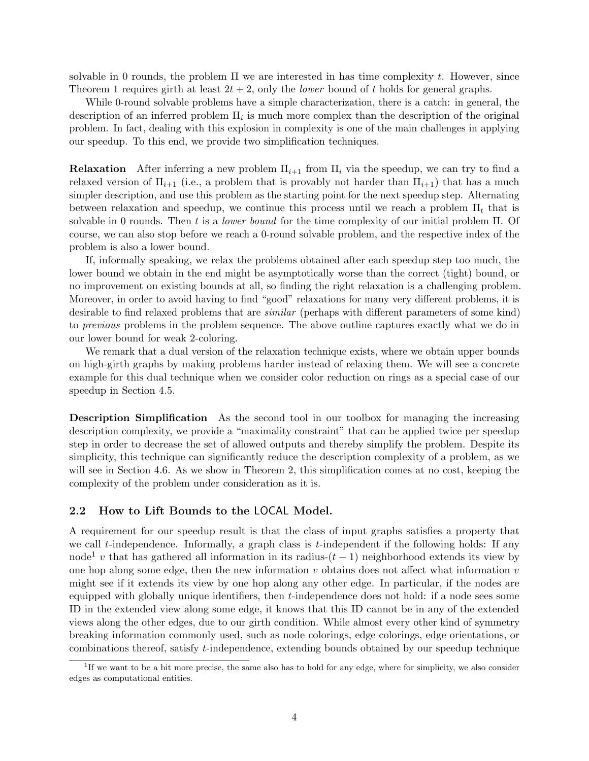solvable in 0 rounds, the problem  $\Pi$  we are interested in has time complexity t. However, since Theorem [1](#page-1-0) requires girth at least  $2t + 2$ , only the *lower* bound of t holds for general graphs.

While 0-round solvable problems have a simple characterization, there is a catch: in general, the description of an inferred problem  $\Pi_i$  is much more complex than the description of the original problem. In fact, dealing with this explosion in complexity is one of the main challenges in applying our speedup. To this end, we provide two simplification techniques.

**Relaxation** After inferring a new problem  $\Pi_{i+1}$  from  $\Pi_i$  via the speedup, we can try to find a relaxed version of  $\Pi_{i+1}$  (i.e., a problem that is provably not harder than  $\Pi_{i+1}$ ) that has a much simpler description, and use this problem as the starting point for the next speedup step. Alternating between relaxation and speedup, we continue this process until we reach a problem  $\Pi_t$  that is solvable in 0 rounds. Then t is a *lower bound* for the time complexity of our initial problem  $\Pi$ . Of course, we can also stop before we reach a 0-round solvable problem, and the respective index of the problem is also a lower bound.

If, informally speaking, we relax the problems obtained after each speedup step too much, the lower bound we obtain in the end might be asymptotically worse than the correct (tight) bound, or no improvement on existing bounds at all, so finding the right relaxation is a challenging problem. Moreover, in order to avoid having to find "good" relaxations for many very different problems, it is desirable to find relaxed problems that are similar (perhaps with different parameters of some kind) to previous problems in the problem sequence. The above outline captures exactly what we do in our lower bound for weak 2-coloring.

We remark that a dual version of the relaxation technique exists, where we obtain upper bounds on high-girth graphs by making problems harder instead of relaxing them. We will see a concrete example for this dual technique when we consider color reduction on rings as a special case of our speedup in Section [4.5.](#page-18-0)

Description Simplification As the second tool in our toolbox for managing the increasing description complexity, we provide a "maximality constraint" that can be applied twice per speedup step in order to decrease the set of allowed outputs and thereby simplify the problem. Despite its simplicity, this technique can significantly reduce the description complexity of a problem, as we will see in Section [4.6.](#page-20-0) As we show in Theorem [2,](#page-14-0) this simplification comes at no cost, keeping the complexity of the problem under consideration as it is.

#### <span id="page-4-0"></span>2.2 How to Lift Bounds to the LOCAL Model.

A requirement for our speedup result is that the class of input graphs satisfies a property that we call  $t$ -independence. Informally, a graph class is  $t$ -independent if the following holds: If any node<sup>[1](#page-0-0)</sup> v that has gathered all information in its radius- $(t - 1)$  neighborhood extends its view by one hop along some edge, then the new information  $v$  obtains does not affect what information  $v$ might see if it extends its view by one hop along any other edge. In particular, if the nodes are equipped with globally unique identifiers, then t-independence does not hold: if a node sees some ID in the extended view along some edge, it knows that this ID cannot be in any of the extended views along the other edges, due to our girth condition. While almost every other kind of symmetry breaking information commonly used, such as node colorings, edge colorings, edge orientations, or combinations thereof, satisfy t-independence, extending bounds obtained by our speedup technique

<sup>&</sup>lt;sup>1</sup>If we want to be a bit more precise, the same also has to hold for any edge, where for simplicity, we also consider edges as computational entities.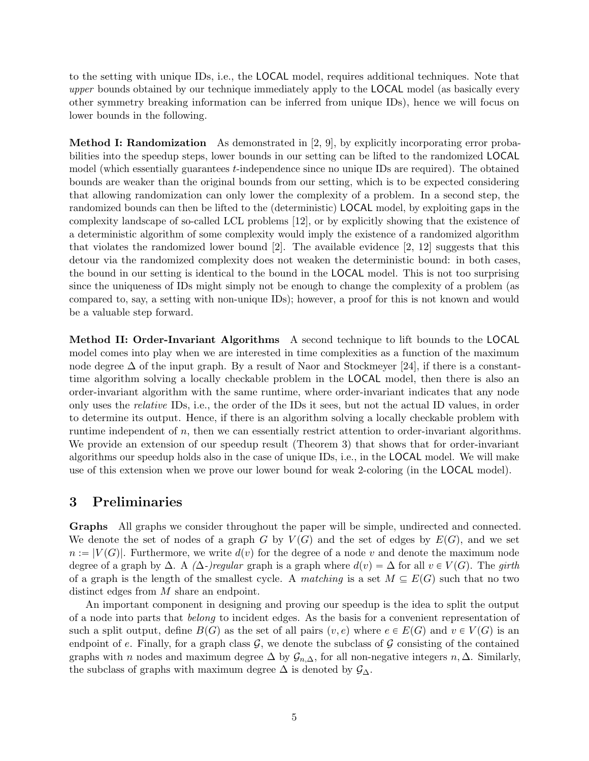to the setting with unique IDs, i.e., the LOCAL model, requires additional techniques. Note that upper bounds obtained by our technique immediately apply to the **LOCAL** model (as basically every other symmetry breaking information can be inferred from unique IDs), hence we will focus on lower bounds in the following.

Method I: Randomization As demonstrated in [\[2,](#page-32-2) [9\]](#page-32-0), by explicitly incorporating error probabilities into the speedup steps, lower bounds in our setting can be lifted to the randomized LOCAL model (which essentially guarantees t-independence since no unique IDs are required). The obtained bounds are weaker than the original bounds from our setting, which is to be expected considering that allowing randomization can only lower the complexity of a problem. In a second step, the randomized bounds can then be lifted to the (deterministic) LOCAL model, by exploiting gaps in the complexity landscape of so-called LCL problems [\[12\]](#page-32-3), or by explicitly showing that the existence of a deterministic algorithm of some complexity would imply the existence of a randomized algorithm that violates the randomized lower bound [\[2\]](#page-32-2). The available evidence [\[2,](#page-32-2) [12\]](#page-32-3) suggests that this detour via the randomized complexity does not weaken the deterministic bound: in both cases, the bound in our setting is identical to the bound in the LOCAL model. This is not too surprising since the uniqueness of IDs might simply not be enough to change the complexity of a problem (as compared to, say, a setting with non-unique IDs); however, a proof for this is not known and would be a valuable step forward.

Method II: Order-Invariant Algorithms A second technique to lift bounds to the LOCAL model comes into play when we are interested in time complexities as a function of the maximum node degree  $\Delta$  of the input graph. By a result of Naor and Stockmeyer [\[24\]](#page-33-0), if there is a constanttime algorithm solving a locally checkable problem in the LOCAL model, then there is also an order-invariant algorithm with the same runtime, where order-invariant indicates that any node only uses the relative IDs, i.e., the order of the IDs it sees, but not the actual ID values, in order to determine its output. Hence, if there is an algorithm solving a locally checkable problem with runtime independent of  $n$ , then we can essentially restrict attention to order-invariant algorithms. We provide an extension of our speedup result (Theorem [3\)](#page-15-0) that shows that for order-invariant algorithms our speedup holds also in the case of unique IDs, i.e., in the LOCAL model. We will make use of this extension when we prove our lower bound for weak 2-coloring (in the LOCAL model).

## 3 Preliminaries

Graphs All graphs we consider throughout the paper will be simple, undirected and connected. We denote the set of nodes of a graph G by  $V(G)$  and the set of edges by  $E(G)$ , and we set  $n := |V(G)|$ . Furthermore, we write  $d(v)$  for the degree of a node v and denote the maximum node degree of a graph by  $\Delta$ . A  $(\Delta$ -)regular graph is a graph where  $d(v) = \Delta$  for all  $v \in V(G)$ . The girth of a graph is the length of the smallest cycle. A matching is a set  $M \subseteq E(G)$  such that no two distinct edges from M share an endpoint.

An important component in designing and proving our speedup is the idea to split the output of a node into parts that belong to incident edges. As the basis for a convenient representation of such a split output, define  $B(G)$  as the set of all pairs  $(v, e)$  where  $e \in E(G)$  and  $v \in V(G)$  is an endpoint of e. Finally, for a graph class  $G$ , we denote the subclass of  $G$  consisting of the contained graphs with n nodes and maximum degree  $\Delta$  by  $\mathcal{G}_{n,\Delta}$ , for all non-negative integers  $n,\Delta$ . Similarly, the subclass of graphs with maximum degree  $\Delta$  is denoted by  $\mathcal{G}_{\Delta}$ .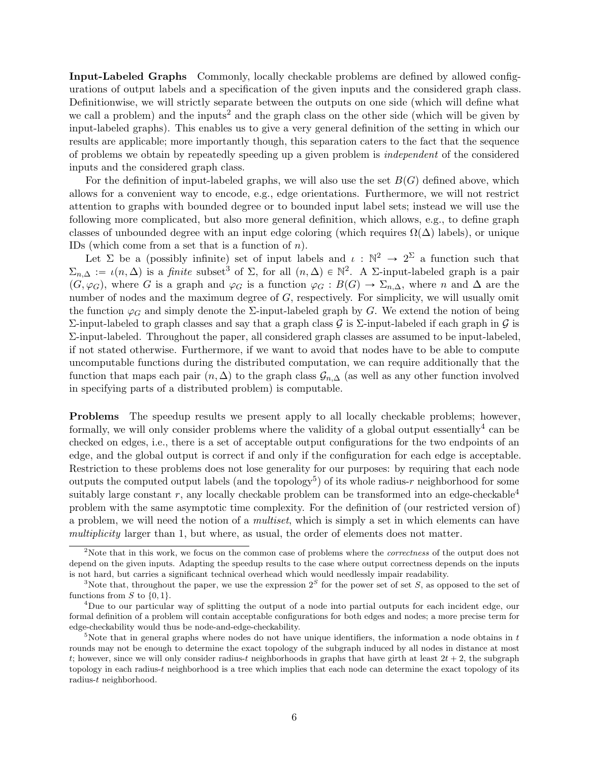Input-Labeled Graphs Commonly, locally checkable problems are defined by allowed configurations of output labels and a specification of the given inputs and the considered graph class. Definitionwise, we will strictly separate between the outputs on one side (which will define what we call a problem) and the inputs<sup>[2](#page-0-0)</sup> and the graph class on the other side (which will be given by input-labeled graphs). This enables us to give a very general definition of the setting in which our results are applicable; more importantly though, this separation caters to the fact that the sequence of problems we obtain by repeatedly speeding up a given problem is independent of the considered inputs and the considered graph class.

For the definition of input-labeled graphs, we will also use the set  $B(G)$  defined above, which allows for a convenient way to encode, e.g., edge orientations. Furthermore, we will not restrict attention to graphs with bounded degree or to bounded input label sets; instead we will use the following more complicated, but also more general definition, which allows, e.g., to define graph classes of unbounded degree with an input edge coloring (which requires  $\Omega(\Delta)$  labels), or unique IDs (which come from a set that is a function of  $n$ ).

Let  $\Sigma$  be a (possibly infinite) set of input labels and  $\iota : \mathbb{N}^2 \to 2^{\Sigma}$  a function such that  $\Sigma_{n,\Delta} := \iota(n,\Delta)$  is a finite subset<sup>[3](#page-0-0)</sup> of  $\Sigma$ , for all  $(n,\Delta) \in \mathbb{N}^2$ . A  $\Sigma$ -input-labeled graph is a pair  $(G, \varphi_G)$ , where G is a graph and  $\varphi_G$  is a function  $\varphi_G : B(G) \to \Sigma_{n,\Delta}$ , where n and  $\Delta$  are the number of nodes and the maximum degree of G, respectively. For simplicity, we will usually omit the function  $\varphi_G$  and simply denote the  $\Sigma$ -input-labeled graph by G. We extend the notion of being Σ-input-labeled to graph classes and say that a graph class  $G$  is Σ-input-labeled if each graph in  $G$  is Σ-input-labeled. Throughout the paper, all considered graph classes are assumed to be input-labeled, if not stated otherwise. Furthermore, if we want to avoid that nodes have to be able to compute uncomputable functions during the distributed computation, we can require additionally that the function that maps each pair  $(n, \Delta)$  to the graph class  $\mathcal{G}_{n,\Delta}$  (as well as any other function involved in specifying parts of a distributed problem) is computable.

<span id="page-6-0"></span>Problems The speedup results we present apply to all locally checkable problems; however, formally, we will only consider problems where the validity of a global output essentially<sup>[4](#page-0-0)</sup> can be checked on edges, i.e., there is a set of acceptable output configurations for the two endpoints of an edge, and the global output is correct if and only if the configuration for each edge is acceptable. Restriction to these problems does not lose generality for our purposes: by requiring that each node outputs the computed output labels (and the topology<sup>[5](#page-0-0)</sup>) of its whole radius-r neighborhood for some suitably large constant r, any locally checkable problem can be transformed into an edge-checkable<sup>[4](#page-0-0)</sup> problem with the same asymptotic time complexity. For the definition of (our restricted version of) a problem, we will need the notion of a multiset, which is simply a set in which elements can have multiplicity larger than 1, but where, as usual, the order of elements does not matter.

 $2^{\circ}$ Note that in this work, we focus on the common case of problems where the *correctness* of the output does not depend on the given inputs. Adapting the speedup results to the case where output correctness depends on the inputs is not hard, but carries a significant technical overhead which would needlessly impair readability.

<sup>&</sup>lt;sup>3</sup>Note that, throughout the paper, we use the expression  $2<sup>S</sup>$  for the power set of set S, as opposed to the set of functions from S to  $\{0, 1\}$ .

<sup>4</sup>Due to our particular way of splitting the output of a node into partial outputs for each incident edge, our formal definition of a problem will contain acceptable configurations for both edges and nodes; a more precise term for edge-checkability would thus be node-and-edge-checkability.

<sup>&</sup>lt;sup>5</sup>Note that in general graphs where nodes do not have unique identifiers, the information a node obtains in t rounds may not be enough to determine the exact topology of the subgraph induced by all nodes in distance at most t; however, since we will only consider radius-t neighborhoods in graphs that have girth at least  $2t + 2$ , the subgraph topology in each radius-t neighborhood is a tree which implies that each node can determine the exact topology of its radius-t neighborhood.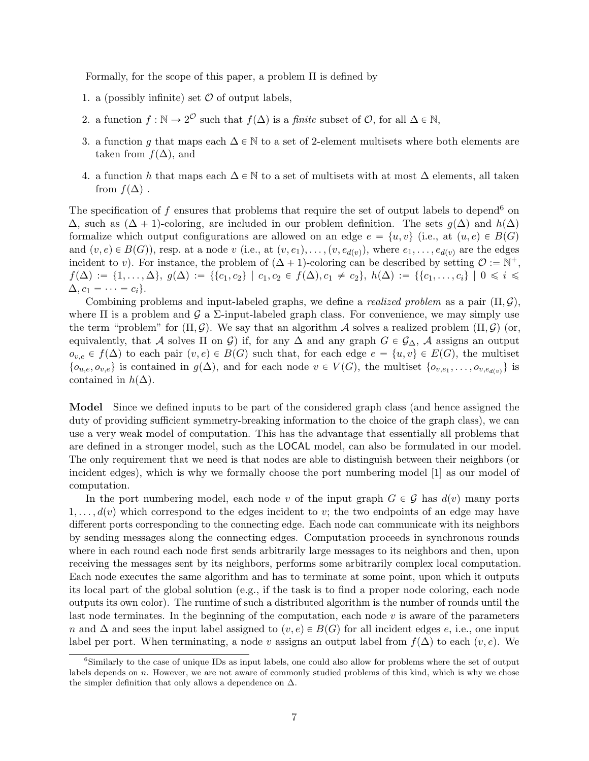Formally, for the scope of this paper, a problem Π is defined by

- 1. a (possibly infinite) set  $\mathcal O$  of output labels,
- 2. a function  $f : \mathbb{N} \to 2^{\mathcal{O}}$  such that  $f(\Delta)$  is a *finite* subset of  $\mathcal{O}$ , for all  $\Delta \in \mathbb{N}$ ,
- 3. a function g that maps each  $\Delta \in \mathbb{N}$  to a set of 2-element multisets where both elements are taken from  $f(\Delta)$ , and
- 4. a function h that maps each  $\Delta \in \mathbb{N}$  to a set of multisets with at most  $\Delta$  elements, all taken from  $f(\Delta)$ .

The specification of f ensures that problems that require the set of output labels to depend<sup>[6](#page-0-0)</sup> on  $\Delta$ , such as  $(\Delta + 1)$ -coloring, are included in our problem definition. The sets  $g(\Delta)$  and  $h(\Delta)$ formalize which output configurations are allowed on an edge  $e = \{u, v\}$  (i.e., at  $(u, e) \in B(G)$ and  $(v, e) \in B(G)$ , resp. at a node v (i.e., at  $(v, e_1), \ldots, (v, e_{d(v)})$ , where  $e_1, \ldots, e_{d(v)}$  are the edges incident to v). For instance, the problem of  $(\Delta + 1)$ -coloring can be described by setting  $\mathcal{O} := \mathbb{N}^+,$  $f(\Delta) := \{1, \ldots, \Delta\}, g(\Delta) := \{ \{c_1, c_2\} \mid c_1, c_2 \in f(\Delta), c_1 \neq c_2\}, h(\Delta) := \{ \{c_1, \ldots, c_i\} \mid 0 \leq i \leq j \}$  $\Delta, c_1 = \cdots = c_i$ .

Combining problems and input-labeled graphs, we define a *realized problem* as a pair  $(\Pi, \mathcal{G})$ , where  $\Pi$  is a problem and  $\mathcal G$  a  $\Sigma$ -input-labeled graph class. For convenience, we may simply use the term "problem" for  $(\Pi, \mathcal{G})$ . We say that an algorithm A solves a realized problem  $(\Pi, \mathcal{G})$  (or, equivalently, that A solves  $\Pi$  on G) if, for any  $\Delta$  and any graph  $G \in \mathcal{G}_{\Delta}$ , A assigns an output  $o_{v,e} \in f(\Delta)$  to each pair  $(v, e) \in B(G)$  such that, for each edge  $e = \{u, v\} \in E(G)$ , the multiset  $\{o_{u,e}, o_{v,e}\}\$ is contained in  $g(\Delta)$ , and for each node  $v \in V(G)$ , the multiset  $\{o_{v,e_1}, \ldots, o_{v,e_{d(v)}}\}\$ is contained in  $h(\Delta)$ .

Model Since we defined inputs to be part of the considered graph class (and hence assigned the duty of providing sufficient symmetry-breaking information to the choice of the graph class), we can use a very weak model of computation. This has the advantage that essentially all problems that are defined in a stronger model, such as the LOCAL model, can also be formulated in our model. The only requirement that we need is that nodes are able to distinguish between their neighbors (or incident edges), which is why we formally choose the port numbering model [\[1\]](#page-31-0) as our model of computation.

In the port numbering model, each node v of the input graph  $G \in \mathcal{G}$  has  $d(v)$  many ports  $1, \ldots, d(v)$  which correspond to the edges incident to v; the two endpoints of an edge may have different ports corresponding to the connecting edge. Each node can communicate with its neighbors by sending messages along the connecting edges. Computation proceeds in synchronous rounds where in each round each node first sends arbitrarily large messages to its neighbors and then, upon receiving the messages sent by its neighbors, performs some arbitrarily complex local computation. Each node executes the same algorithm and has to terminate at some point, upon which it outputs its local part of the global solution (e.g., if the task is to find a proper node coloring, each node outputs its own color). The runtime of such a distributed algorithm is the number of rounds until the last node terminates. In the beginning of the computation, each node  $v$  is aware of the parameters n and  $\Delta$  and sees the input label assigned to  $(v, e) \in B(G)$  for all incident edges e, i.e., one input label per port. When terminating, a node v assigns an output label from  $f(\Delta)$  to each  $(v, e)$ . We

<sup>&</sup>lt;sup>6</sup>Similarly to the case of unique IDs as input labels, one could also allow for problems where the set of output labels depends on  $n$ . However, we are not aware of commonly studied problems of this kind, which is why we chose the simpler definition that only allows a dependence on  $\Delta$ .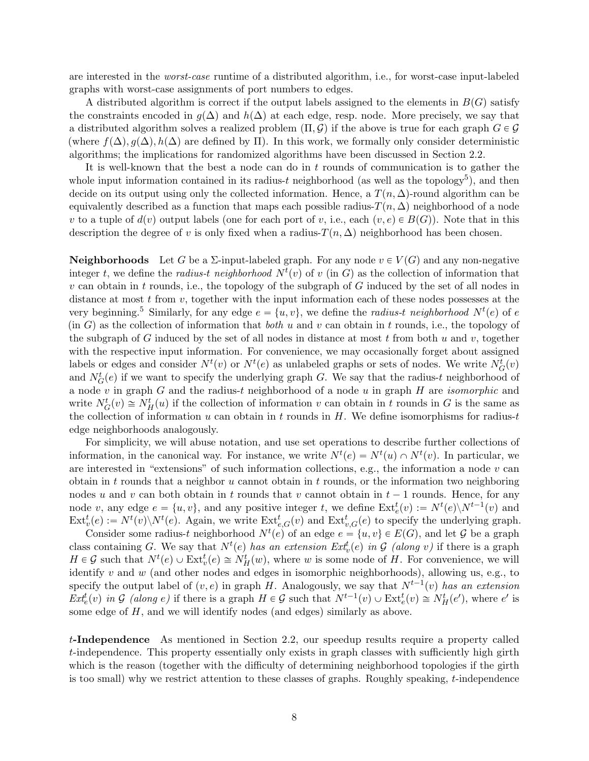are interested in the worst-case runtime of a distributed algorithm, i.e., for worst-case input-labeled graphs with worst-case assignments of port numbers to edges.

A distributed algorithm is correct if the output labels assigned to the elements in  $B(G)$  satisfy the constraints encoded in  $g(\Delta)$  and  $h(\Delta)$  at each edge, resp. node. More precisely, we say that a distributed algorithm solves a realized problem  $(\Pi, \mathcal{G})$  if the above is true for each graph  $G \in \mathcal{G}$ (where  $f(\Delta)$ ,  $g(\Delta)$ ,  $h(\Delta)$  are defined by  $\Pi$ ). In this work, we formally only consider deterministic algorithms; the implications for randomized algorithms have been discussed in Section [2.2.](#page-4-0)

It is well-known that the best a node can do in t rounds of communication is to gather the whole input information contained in its radius-t neighborhood (as well as the topology<sup>[5](#page-0-0)</sup>), and then decide on its output using only the collected information. Hence, a  $T(n, \Delta)$ -round algorithm can be equivalently described as a function that maps each possible radius- $T(n, \Delta)$  neighborhood of a node v to a tuple of  $d(v)$  output labels (one for each port of v, i.e., each  $(v, e) \in B(G)$ ). Note that in this description the degree of v is only fixed when a radius- $T(n, \Delta)$  neighborhood has been chosen.

**Neighborhoods** Let G be a  $\Sigma$ -input-labeled graph. For any node  $v \in V(G)$  and any non-negative integer t, we define the *radius-t neighborhood*  $N^t(v)$  of v (in G) as the collection of information that  $v$  can obtain in t rounds, i.e., the topology of the subgraph of G induced by the set of all nodes in distance at most  $t$  from  $v$ , together with the input information each of these nodes possesses at the very beginning.<sup>[5](#page-0-0)</sup> Similarly, for any edge  $e = \{u, v\}$ , we define the *radius-t neighborhood*  $N^{t}(e)$  of  $e$  $(in G)$  as the collection of information that *both* u and v can obtain in t rounds, i.e., the topology of the subgraph of G induced by the set of all nodes in distance at most t from both u and v, together with the respective input information. For convenience, we may occasionally forget about assigned labels or edges and consider  $N^{t}(v)$  or  $N^{t}(e)$  as unlabeled graphs or sets of nodes. We write  $N_{G}^{t}(v)$ and  $N_G^t(e)$  if we want to specify the underlying graph G. We say that the radius-t neighborhood of a node  $v$  in graph  $G$  and the radius-t neighborhood of a node  $u$  in graph  $H$  are *isomorphic* and write  $N_G^t(v) \cong N_H^t(u)$  if the collection of information v can obtain in t rounds in G is the same as the collection of information u can obtain in t rounds in  $H$ . We define isomorphisms for radius-t edge neighborhoods analogously.

For simplicity, we will abuse notation, and use set operations to describe further collections of information, in the canonical way. For instance, we write  $N^{t}(e) = N^{t}(u) \cap N^{t}(v)$ . In particular, we are interested in "extensions" of such information collections, e.g., the information a node  $v$  can obtain in t rounds that a neighbor  $u$  cannot obtain in t rounds, or the information two neighboring nodes u and v can both obtain in t rounds that v cannot obtain in  $t - 1$  rounds. Hence, for any node v, any edge  $e = \{u, v\}$ , and any positive integer t, we define  $\text{Ext}_e^t(v) := N^t(e) \setminus N^{t-1}(v)$  and  $\text{Ext}^t_v(e) := N^t(v) \setminus N^t(e)$ . Again, we write  $\text{Ext}^t_{e,G}(v)$  and  $\text{Ext}^t_{v,G}(e)$  to specify the underlying graph.

Consider some radius-t neighborhood  $N^t(e)$  of an edge  $e = \{u, v\} \in E(G)$ , and let G be a graph class containing G. We say that  $N^{t}(e)$  has an extension  $Ext_{v}^{t}(e)$  in G (along v) if there is a graph  $H \in \mathcal{G}$  such that  $N^t(e) \cup \text{Ext}^t_v(e) \cong N^t_H(w)$ , where w is some node of H. For convenience, we will identify  $v$  and  $w$  (and other nodes and edges in isomorphic neighborhoods), allowing us, e.g., to specify the output label of  $(v, e)$  in graph H. Analogously, we say that  $N^{t-1}(v)$  has an extension  $Ext_e^t(v)$  in G (along e) if there is a graph  $H \in \mathcal{G}$  such that  $N^{t-1}(v) \cup Ext_e^t(v) \cong N_H^t(e')$ , where e' is some edge of H, and we will identify nodes (and edges) similarly as above.

t-Independence As mentioned in Section [2.2,](#page-4-0) our speedup results require a property called t-independence. This property essentially only exists in graph classes with sufficiently high girth which is the reason (together with the difficulty of determining neighborhood topologies if the girth is too small) why we restrict attention to these classes of graphs. Roughly speaking, t-independence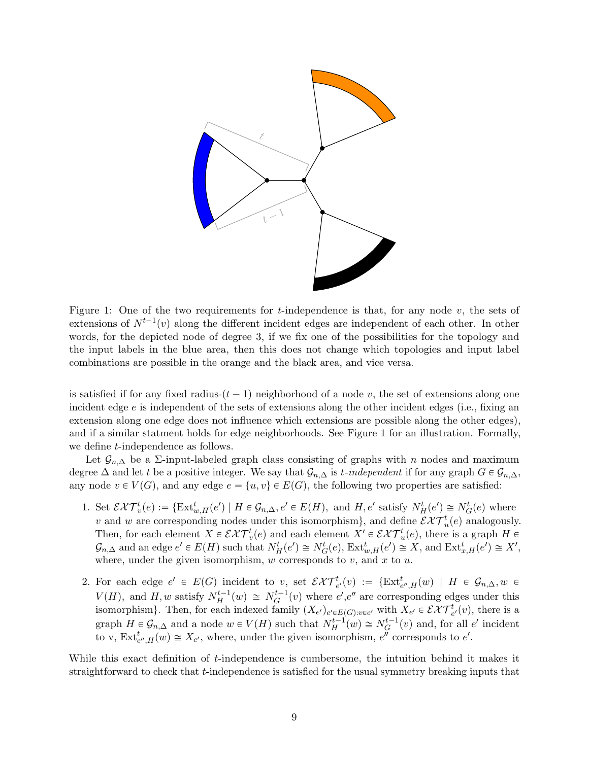

<span id="page-9-0"></span>Figure 1: One of the two requirements for t-independence is that, for any node  $v$ , the sets of extensions of  $N^{t-1}(v)$  along the different incident edges are independent of each other. In other words, for the depicted node of degree 3, if we fix one of the possibilities for the topology and the input labels in the blue area, then this does not change which topologies and input label combinations are possible in the orange and the black area, and vice versa.

is satisfied if for any fixed radius- $(t - 1)$  neighborhood of a node v, the set of extensions along one incident edge e is independent of the sets of extensions along the other incident edges (i.e., fixing an extension along one edge does not influence which extensions are possible along the other edges), and if a similar statment holds for edge neighborhoods. See Figure [1](#page-9-0) for an illustration. Formally, we define *t*-independence as follows.

Let  $\mathcal{G}_{n,\Delta}$  be a ∑-input-labeled graph class consisting of graphs with n nodes and maximum degree  $\Delta$  and let t be a positive integer. We say that  $\mathcal{G}_{n,\Delta}$  is t-independent if for any graph  $G \in \mathcal{G}_{n,\Delta}$ , any node  $v \in V(G)$ , and any edge  $e = \{u, v\} \in E(G)$ , the following two properties are satisfied:

- 1. Set  $\mathcal{EHT}^t_v(e) := \{\text{Ext}^t_{w,H}(e') \mid H \in \mathcal{G}_{n,\Delta}, e' \in E(H), \text{ and } H, e' \text{ satisfy } N^t_H(e') \cong N^t_G(e) \text{ where } t \in \mathcal{E}_{n,\Delta}$ v and w are corresponding nodes under this isomorphism}, and define  $\mathcal{EKT}_{u}^{t}(e)$  analogously. Then, for each element  $X \in \mathcal{EXT}_v^t(e)$  and each element  $X' \in \mathcal{EXT}_u^t(e)$ , there is a graph  $H \in$  $\mathcal{G}_{n,\Delta}$  and an edge  $e' \in E(H)$  such that  $N_H^t(e') \cong N_G^t(e)$ ,  $\text{Ext}_{w,H}^t(e') \cong X$ , and  $\text{Ext}_{x,H}^t(e') \cong X'$ , where, under the given isomorphism,  $w$  corresponds to  $v$ , and  $x$  to  $u$ .
- 2. For each edge  $e' \in E(G)$  incident to v, set  $\mathcal{EHT}^t_{e'}(v) := \{\text{Ext}^t_{e'',H}(w) \mid H \in \mathcal{G}_{n,\Delta}, w \in$  $V(H)$ , and H, w satisfy  $N_H^{t-1}(w) \cong N_G^{t-1}(v)$  where  $e', e''$  are corresponding edges under this isomorphism}. Then, for each indexed family  $(X_{e'})_{e' \in E(G): v \in e'}$  with  $X_{e'} \in \mathcal{EXT}^t_{e'}(v)$ , there is a graph  $H \in \mathcal{G}_{n,\Delta}$  and a node  $w \in V(H)$  such that  $N_H^{t-1}(w) \cong N_G^{t-1}(v)$  and, for all  $e'$  incident to v,  $\text{Ext}^t_{e'',H}(w) \cong X_{e'}$ , where, under the given isomorphism,  $e''$  corresponds to  $e'$ .

While this exact definition of t-independence is cumbersome, the intuition behind it makes it straightforward to check that t-independence is satisfied for the usual symmetry breaking inputs that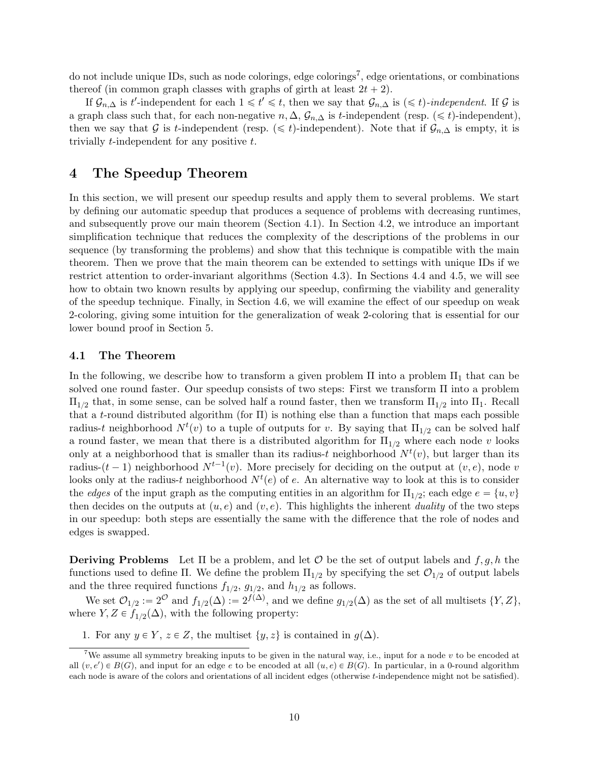do not include unique IDs, such as node colorings, edge colorings<sup>[7](#page-0-0)</sup>, edge orientations, or combinations thereof (in common graph classes with graphs of girth at least  $2t + 2$ ).

If  $\mathcal{G}_{n,\Delta}$  is t'-independent for each  $1 \leq t' \leq t$ , then we say that  $\mathcal{G}_{n,\Delta}$  is  $(\leq t)$ -independent. If  $\mathcal G$  is a graph class such that, for each non-negative  $n, \Delta, \mathcal{G}_{n,\Delta}$  is t-independent (resp.  $(\leq t)$ -independent), then we say that G is t-independent (resp.  $(\leq t)$ -independent). Note that if  $\mathcal{G}_{n,\Delta}$  is empty, it is trivially t-independent for any positive t.

# <span id="page-10-2"></span>4 The Speedup Theorem

In this section, we will present our speedup results and apply them to several problems. We start by defining our automatic speedup that produces a sequence of problems with decreasing runtimes, and subsequently prove our main theorem (Section [4.1\)](#page-10-0). In Section [4.2,](#page-13-0) we introduce an important simplification technique that reduces the complexity of the descriptions of the problems in our sequence (by transforming the problems) and show that this technique is compatible with the main theorem. Then we prove that the main theorem can be extended to settings with unique IDs if we restrict attention to order-invariant algorithms (Section [4.3\)](#page-15-1). In Sections [4.4](#page-16-0) and [4.5,](#page-18-0) we will see how to obtain two known results by applying our speedup, confirming the viability and generality of the speedup technique. Finally, in Section [4.6,](#page-20-0) we will examine the effect of our speedup on weak 2-coloring, giving some intuition for the generalization of weak 2-coloring that is essential for our lower bound proof in Section [5.](#page-23-0)

#### <span id="page-10-0"></span>4.1 The Theorem

In the following, we describe how to transform a given problem  $\Pi$  into a problem  $\Pi_1$  that can be solved one round faster. Our speedup consists of two steps: First we transform Π into a problem  $\Pi_{1/2}$  that, in some sense, can be solved half a round faster, then we transform  $\Pi_{1/2}$  into  $\Pi_1$ . Recall that a t-round distributed algorithm (for  $\Pi$ ) is nothing else than a function that maps each possible radius-t neighborhood  $N^{t}(v)$  to a tuple of outputs for v. By saying that  $\Pi_{1/2}$  can be solved half a round faster, we mean that there is a distributed algorithm for  $\Pi_{1/2}$  where each node v looks only at a neighborhood that is smaller than its radius-t neighborhood  $N<sup>t</sup>(v)$ , but larger than its radius- $(t-1)$  neighborhood  $N^{t-1}(v)$ . More precisely for deciding on the output at  $(v, e)$ , node v looks only at the radius-t neighborhood  $N^t(e)$  of e. An alternative way to look at this is to consider the *edges* of the input graph as the computing entities in an algorithm for  $\Pi_{1/2}$ ; each edge  $e = \{u, v\}$ then decides on the outputs at  $(u, e)$  and  $(v, e)$ . This highlights the inherent *duality* of the two steps in our speedup: both steps are essentially the same with the difference that the role of nodes and edges is swapped.

**Deriving Problems** Let  $\Pi$  be a problem, and let  $\mathcal O$  be the set of output labels and  $f, g, h$  the functions used to define Π. We define the problem  $\Pi_{1/2}$  by specifying the set  $\mathcal{O}_{1/2}$  of output labels and the three required functions  $f_{1/2}$ ,  $g_{1/2}$ , and  $h_{1/2}$  as follows.

We set  $\mathcal{O}_{1/2} := 2^{\mathcal{O}}$  and  $f_{1/2}(\Delta) := 2^{f(\Delta)}$ , and we define  $g_{1/2}(\Delta)$  as the set of all multisets  $\{Y, Z\}$ , where  $Y, Z \in f_{1/2}(\Delta)$ , with the following property:

<span id="page-10-1"></span>1. For any  $y \in Y$ ,  $z \in Z$ , the multiset  $\{y, z\}$  is contained in  $g(\Delta)$ .

<sup>&</sup>lt;sup>7</sup>We assume all symmetry breaking inputs to be given in the natural way, i.e., input for a node  $v$  to be encoded at all  $(v, e') \in B(G)$ , and input for an edge e to be encoded at all  $(u, e) \in B(G)$ . In particular, in a 0-round algorithm each node is aware of the colors and orientations of all incident edges (otherwise t-independence might not be satisfied).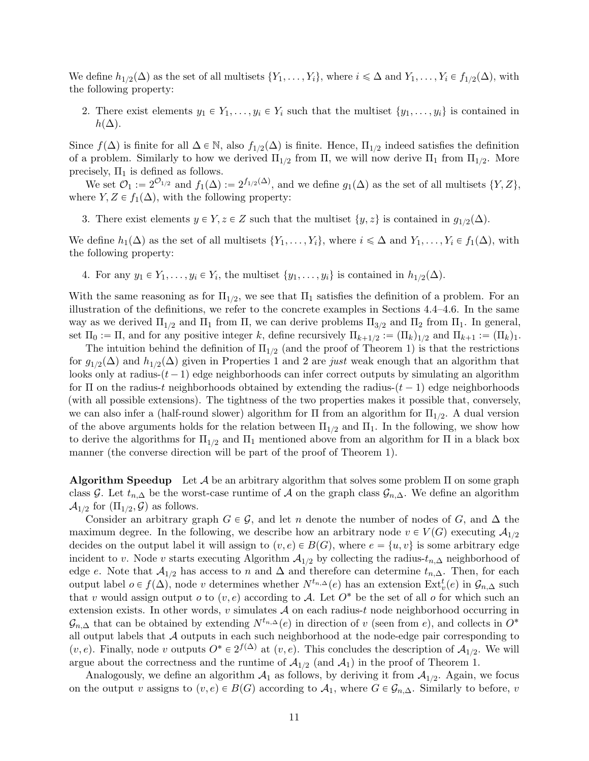We define  $h_{1/2}(\Delta)$  as the set of all multisets  $\{Y_1,\ldots,Y_i\}$ , where  $i \leq \Delta$  and  $Y_1,\ldots,Y_i \in f_{1/2}(\Delta)$ , with the following property:

<span id="page-11-0"></span>2. There exist elements  $y_1 \in Y_1, \ldots, y_i \in Y_i$  such that the multiset  $\{y_1, \ldots, y_i\}$  is contained in  $h(\Delta)$ .

Since  $f(\Delta)$  is finite for all  $\Delta \in \mathbb{N}$ , also  $f_{1/2}(\Delta)$  is finite. Hence,  $\Pi_{1/2}$  indeed satisfies the definition of a problem. Similarly to how we derived  $\Pi_{1/2}$  from  $\Pi$ , we will now derive  $\Pi_1$  from  $\Pi_{1/2}$ . More precisely,  $\Pi_1$  is defined as follows.

We set  $\mathcal{O}_1 := 2^{\mathcal{O}_{1/2}}$  and  $f_1(\Delta) := 2^{f_{1/2}(\Delta)}$ , and we define  $g_1(\Delta)$  as the set of all multisets  $\{Y, Z\}$ , where  $Y, Z \in f_1(\Delta)$ , with the following property:

<span id="page-11-1"></span>3. There exist elements  $y \in Y, z \in Z$  such that the multiset  $\{y, z\}$  is contained in  $g_{1/2}(\Delta)$ .

We define  $h_1(\Delta)$  as the set of all multisets  $\{Y_1, \ldots, Y_i\}$ , where  $i \leq \Delta$  and  $Y_1, \ldots, Y_i \in f_1(\Delta)$ , with the following property:

<span id="page-11-2"></span>4. For any  $y_1 \in Y_1, \ldots, y_i \in Y_i$ , the multiset  $\{y_1, \ldots, y_i\}$  is contained in  $h_{1/2}(\Delta)$ .

With the same reasoning as for  $\Pi_{1/2}$ , we see that  $\Pi_1$  satisfies the definition of a problem. For an illustration of the definitions, we refer to the concrete examples in Sections [4.4–](#page-16-0)[4.6.](#page-20-0) In the same way as we derived  $\Pi_{1/2}$  and  $\Pi_1$  from  $\Pi$ , we can derive problems  $\Pi_{3/2}$  and  $\Pi_2$  from  $\Pi_1$ . In general, set  $\Pi_0 := \Pi$ , and for any positive integer k, define recursively  $\Pi_{k+1/2} := (\Pi_k)_{1/2}$  and  $\Pi_{k+1} := (\Pi_k)_{1}$ .

The intuition behind the definition of  $\Pi_{1/2}$  (and the proof of Theorem [1\)](#page-12-0) is that the restrictions for  $g_{1/2}(\Delta)$  $g_{1/2}(\Delta)$  $g_{1/2}(\Delta)$  $g_{1/2}(\Delta)$  $g_{1/2}(\Delta)$  and  $h_{1/2}(\Delta)$  given in Properties 1 and 2 are just weak enough that an algorithm that looks only at radius- $(t - 1)$  edge neighborhoods can infer correct outputs by simulating an algorithm for  $\Pi$  on the radius-t neighborhoods obtained by extending the radius- $(t - 1)$  edge neighborhoods (with all possible extensions). The tightness of the two properties makes it possible that, conversely, we can also infer a (half-round slower) algorithm for  $\Pi$  from an algorithm for  $\Pi_{1/2}$ . A dual version of the above arguments holds for the relation between  $\Pi_{1/2}$  and  $\Pi_1$ . In the following, we show how to derive the algorithms for  $\Pi_{1/2}$  and  $\Pi_1$  mentioned above from an algorithm for  $\Pi$  in a black box manner (the converse direction will be part of the proof of Theorem [1\)](#page-12-0).

Algorithm Speedup Let  $A$  be an arbitrary algorithm that solves some problem  $\Pi$  on some graph class G. Let  $t_{n,\Delta}$  be the worst-case runtime of A on the graph class  $\mathcal{G}_{n,\Delta}$ . We define an algorithm  $\mathcal{A}_{1/2}$  for  $(\Pi_{1/2}, \mathcal{G})$  as follows.

Consider an arbitrary graph  $G \in \mathcal{G}$ , and let n denote the number of nodes of G, and  $\Delta$  the maximum degree. In the following, we describe how an arbitrary node  $v \in V(G)$  executing  $\mathcal{A}_{1/2}$ decides on the output label it will assign to  $(v, e) \in B(G)$ , where  $e = \{u, v\}$  is some arbitrary edge incident to v. Node v starts executing Algorithm  $\mathcal{A}_{1/2}$  by collecting the radius- $t_{n,\Delta}$  neighborhood of edge e. Note that  $\mathcal{A}_{1/2}$  has access to n and  $\Delta$  and therefore can determine  $t_{n,\Delta}$ . Then, for each output label  $o \in f(\Delta)$ , node v determines whether  $N^{t_{n,\Delta}}(e)$  has an extension  $\text{Ext}^t_v(e)$  in  $\mathcal{G}_{n,\Delta}$  such that v would assign output o to  $(v, e)$  according to A. Let  $O^*$  be the set of all o for which such an extension exists. In other words,  $v$  simulates  $A$  on each radius- $t$  node neighborhood occurring in  $\mathcal{G}_{n,\Delta}$  that can be obtained by extending  $N^{t_{n,\Delta}}(e)$  in direction of v (seen from e), and collects in  $O^*$ all output labels that  $A$  outputs in each such neighborhood at the node-edge pair corresponding to  $(v, e)$ . Finally, node v outputs  $O^* \in 2^{f(\Delta)}$  at  $(v, e)$ . This concludes the description of  $\mathcal{A}_{1/2}$ . We will argue about the correctness and the runtime of  $\mathcal{A}_{1/2}$  (and  $\mathcal{A}_1$ ) in the proof of Theorem [1.](#page-12-0)

Analogously, we define an algorithm  $A_1$  as follows, by deriving it from  $A_{1/2}$ . Again, we focus on the output v assigns to  $(v, e) \in B(G)$  according to  $\mathcal{A}_1$ , where  $G \in \mathcal{G}_{n,\Delta}$ . Similarly to before, v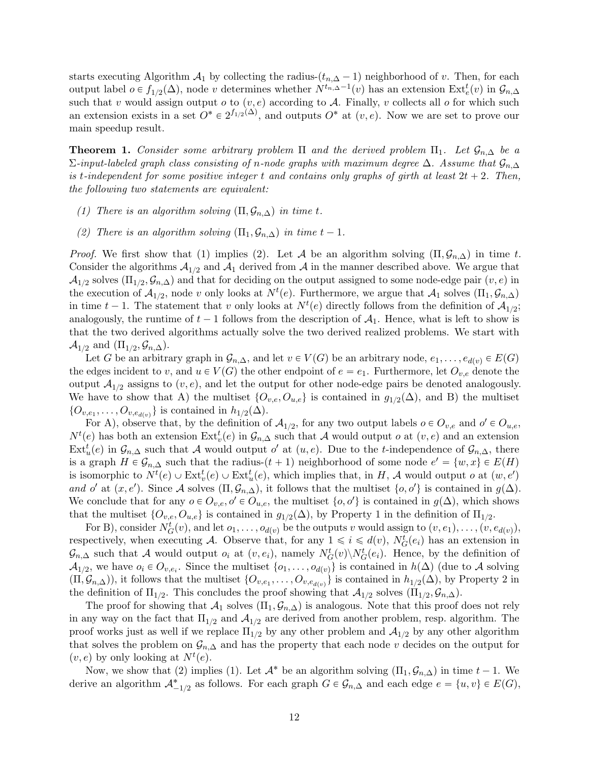starts executing Algorithm  $\mathcal{A}_1$  by collecting the radius- $(t_{n,\Delta}-1)$  neighborhood of v. Then, for each output label  $o \in f_{1/2}(\Delta)$ , node v determines whether  $N^{t_{n}, \Delta-1}(v)$  has an extension  $\text{Ext}_{e}^{t}(v)$  in  $\mathcal{G}_{n,\Delta}$ such that v would assign output o to  $(v, e)$  according to A. Finally, v collects all o for which such an extension exists in a set  $O^* \in 2^{f_{1/2}(\Delta)}$ , and outputs  $O^*$  at  $(v, e)$ . Now we are set to prove our main speedup result.

<span id="page-12-0"></span>**Theorem 1.** Consider some arbitrary problem  $\Pi$  and the derived problem  $\Pi_1$ . Let  $\mathcal{G}_{n,\Delta}$  be a  $\Sigma$ -input-labeled graph class consisting of n-node graphs with maximum degree Δ. Assume that  $\mathcal{G}_{n,\Delta}$ is t-independent for some positive integer t and contains only graphs of girth at least  $2t + 2$ . Then, the following two statements are equivalent:

- (1) There is an algorithm solving  $(\Pi, \mathcal{G}_{n,\Delta})$  in time t.
- (2) There is an algorithm solving  $(\Pi_1, \mathcal{G}_{n,\Delta})$  in time  $t 1$ .

*Proof.* We first show that (1) implies (2). Let A be an algorithm solving  $(\Pi, \mathcal{G}_{n,\Delta})$  in time t. Consider the algorithms  $A_{1/2}$  and  $A_1$  derived from A in the manner described above. We argue that  $\mathcal{A}_{1/2}$  solves  $(\Pi_{1/2}, \mathcal{G}_{n,\Delta})$  and that for deciding on the output assigned to some node-edge pair  $(v, e)$  in the execution of  $\mathcal{A}_{1/2}$ , node v only looks at  $N^t(e)$ . Furthermore, we argue that  $\mathcal{A}_1$  solves  $(\Pi_1, \mathcal{G}_{n,\Delta})$ in time  $t-1$ . The statement that v only looks at  $N^{t}(e)$  directly follows from the definition of  $\mathcal{A}_{1/2}$ ; analogously, the runtime of  $t - 1$  follows from the description of  $A_1$ . Hence, what is left to show is that the two derived algorithms actually solve the two derived realized problems. We start with  $\mathcal{A}_{1/2}$  and  $(\Pi_{1/2}, \mathcal{G}_{n,\Delta}).$ 

Let G be an arbitrary graph in  $\mathcal{G}_{n,\Delta}$ , and let  $v \in V(G)$  be an arbitrary node,  $e_1, \ldots, e_{d(v)} \in E(G)$ the edges incident to v, and  $u \in V(G)$  the other endpoint of  $e = e_1$ . Furthermore, let  $O_{v,e}$  denote the output  $\mathcal{A}_{1/2}$  assigns to  $(v, e)$ , and let the output for other node-edge pairs be denoted analogously. We have to show that A) the multiset  $\{O_{v,e}, O_{u,e}\}\)$  is contained in  $g_{1/2}(\Delta)$ , and B) the multiset  $\{O_{v,e_1}, \ldots, O_{v,e_{d(v)}}\}\$ is contained in  $h_{1/2}(\Delta)$ .

For A), observe that, by the definition of  $A_{1/2}$ , for any two output labels  $o \in O_{v,e}$  and  $o' \in O_{u,e}$ ,  $N^{t}(e)$  has both an extension  $\text{Ext}_{v}^{t}(e)$  in  $\mathcal{G}_{n,\Delta}$  such that A would output o at  $(v,e)$  and an extension  $\text{Ext}^t_u(e)$  in  $\mathcal{G}_{n,\Delta}$  such that A would output o' at  $(u,e)$ . Due to the t-independence of  $\mathcal{G}_{n,\Delta}$ , there is a graph  $H \in \mathcal{G}_{n,\Delta}$  such that the radius- $(t + 1)$  neighborhood of some node  $e' = \{w, x\} \in E(H)$ is isomorphic to  $N^t(e) \cup \text{Ext}^t_v(e) \cup \text{Ext}^t_u(e)$ , which implies that, in H, A would output o at  $(w, e')$ and o' at  $(x, e')$ . Since A solves  $(\Pi, \mathcal{G}_{n,\Delta})$ , it follows that the multiset  $\{o, o'\}$  is contained in  $g(\Delta)$ . We conclude that for any  $o \in O_{v,e}, o' \in O_{u,e}$ , the multiset  $\{o, o'\}$  is contained in  $g(\Delta)$ , which shows that the multiset  $\{O_{v,e}, O_{u,e}\}\$ is contained in  $g_{1/2}(\Delta)$  $g_{1/2}(\Delta)$  $g_{1/2}(\Delta)$ , by Property 1 in the definition of  $\Pi_{1/2}$ .

For B), consider  $N_G^t(v)$ , and let  $o_1, \ldots, o_{d(v)}$  be the outputs v would assign to  $(v, e_1), \ldots, (v, e_{d(v)})$ , respectively, when executing A. Observe that, for any  $1 \leq i \leq d(v)$ ,  $N_G^t(e_i)$  has an extension in  $\mathcal{G}_{n,\Delta}$  such that A would output  $o_i$  at  $(v,e_i)$ , namely  $N_G^t(v) \backslash N_G^t(e_i)$ . Hence, by the definition of  $\mathcal{A}_{1/2}$ , we have  $o_i \in O_{v,e_i}$ . Since the multiset  $\{o_1,\ldots,o_{d(v)}\}$  is contained in  $h(\Delta)$  (due to A solving  $(\Pi, \mathcal{G}_{n,\Delta})$ , it follows that the multiset  $\{O_{v,e_1}, \ldots, O_{v,e_{d(v)}}\}$  is contained in  $h_{1/2}(\Delta)$  $h_{1/2}(\Delta)$  $h_{1/2}(\Delta)$ , by Property 2 in the definition of  $\Pi_{1/2}$ . This concludes the proof showing that  $\mathcal{A}_{1/2}$  solves  $(\Pi_{1/2}, \mathcal{G}_{n,\Delta})$ .

The proof for showing that  $\mathcal{A}_1$  solves  $(\Pi_1, \mathcal{G}_{n,\Delta})$  is analogous. Note that this proof does not rely in any way on the fact that  $\Pi_{1/2}$  and  $A_{1/2}$  are derived from another problem, resp. algorithm. The proof works just as well if we replace  $\Pi_{1/2}$  by any other problem and  $\mathcal{A}_{1/2}$  by any other algorithm that solves the problem on  $\mathcal{G}_{n,\Delta}$  and has the property that each node v decides on the output for  $(v, e)$  by only looking at  $N^t(e)$ .

Now, we show that (2) implies (1). Let  $\mathcal{A}^*$  be an algorithm solving  $(\Pi_1, \mathcal{G}_{n,\Delta})$  in time  $t - 1$ . We derive an algorithm  $\mathcal{A}_{-1/2}^*$  as follows. For each graph  $G \in \mathcal{G}_{n,\Delta}$  and each edge  $e = \{u, v\} \in E(G)$ ,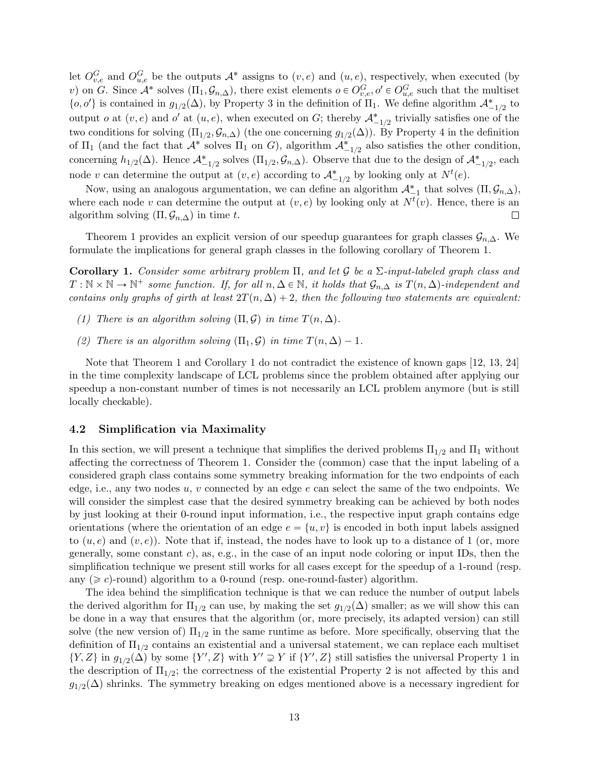let  $O_{v,e}^G$  and  $O_{u,e}^G$  be the outputs  $A^*$  assigns to  $(v,e)$  and  $(u,e)$ , respectively, when executed (by v) on G. Since  $\mathcal{A}^*$  solves  $(\Pi_1, \mathcal{G}_{n,\Delta})$ , there exist elements  $o \in O_{v,e}^G, o' \in O_{u,e}^G$  such that the multiset  $\{o, o'\}$  is contained in  $g_{1/2}(\Delta)$ , by Property [3](#page-11-1) in the definition of  $\Pi_1$ . We define algorithm  $\mathcal{A}_{-1/2}^*$  to output *o* at  $(v, e)$  and *o'* at  $(u, e)$ , when executed on *G*; thereby  $\mathcal{A}_{-1/2}^*$  trivially satisfies one of the two conditions for solving  $(\Pi_{1/2}, \mathcal{G}_{n,\Delta})$  (the one concerning  $g_{1/2}(\Delta)$ ). By Property [4](#page-11-2) in the definition of  $\Pi_1$  (and the fact that  $\mathcal{A}^*$  solves  $\Pi_1$  on G), algorithm  $\mathcal{A}_{-1/2}^*$  also satisfies the other condition, concerning  $h_{1/2}(\Delta)$ . Hence  $\mathcal{A}_{-1/2}^*$  solves  $(\Pi_{1/2}, \mathcal{G}_{n,\Delta})$ . Observe that due to the design of  $\mathcal{A}_{-1/2}^*$ , each node v can determine the output at  $(v, e)$  according to  $\mathcal{A}_{-1/2}^*$  by looking only at  $N^t(e)$ .

Now, using an analogous argumentation, we can define an algorithm  $\mathcal{A}_{-1}^*$  that solves  $(\Pi, \mathcal{G}_{n,\Delta}),$ where each node v can determine the output at  $(v, e)$  by looking only at  $N<sup>t</sup>(v)$ . Hence, there is an algorithm solving  $(\Pi, \mathcal{G}_{n,\Delta})$  in time t.  $\Box$ 

Theorem [1](#page-12-0) provides an explicit version of our speedup guarantees for graph classes  $\mathcal{G}_{n,\Delta}$ . We formulate the implications for general graph classes in the following corollary of Theorem [1.](#page-12-0)

<span id="page-13-1"></span>Corollary 1. Consider some arbitrary problem  $\Pi$ , and let G be a  $\Sigma$ -input-labeled graph class and  $T: \mathbb{N} \times \mathbb{N} \to \mathbb{N}^+$  some function. If, for all  $n, \Delta \in \mathbb{N}$ , it holds that  $\mathcal{G}_{n,\Delta}$  is  $T(n,\Delta)$ -independent and contains only graphs of girth at least  $2T(n, \Delta) + 2$ , then the following two statements are equivalent:

- (1) There is an algorithm solving  $(\Pi, \mathcal{G})$  in time  $T(n, \Delta)$ .
- (2) There is an algorithm solving  $(\Pi_1, \mathcal{G})$  in time  $T(n, \Delta) 1$ .

Note that Theorem [1](#page-12-0) and Corollary [1](#page-13-1) do not contradict the existence of known gaps [\[12,](#page-32-3) [13,](#page-32-4) [24\]](#page-33-0) in the time complexity landscape of LCL problems since the problem obtained after applying our speedup a non-constant number of times is not necessarily an LCL problem anymore (but is still locally checkable).

#### <span id="page-13-0"></span>4.2 Simplification via Maximality

In this section, we will present a technique that simplifies the derived problems  $\Pi_{1/2}$  and  $\Pi_1$  without affecting the correctness of Theorem [1.](#page-12-0) Consider the (common) case that the input labeling of a considered graph class contains some symmetry breaking information for the two endpoints of each edge, i.e., any two nodes  $u, v$  connected by an edge  $e$  can select the same of the two endpoints. We will consider the simplest case that the desired symmetry breaking can be achieved by both nodes by just looking at their 0-round input information, i.e., the respective input graph contains edge orientations (where the orientation of an edge  $e = \{u, v\}$  is encoded in both input labels assigned to  $(u, e)$  and  $(v, e)$ ). Note that if, instead, the nodes have to look up to a distance of 1 (or, more generally, some constant c), as, e.g., in the case of an input node coloring or input IDs, then the simplification technique we present still works for all cases except for the speedup of a 1-round (resp. any  $(\geq c)$ -round) algorithm to a 0-round (resp. one-round-faster) algorithm.

The idea behind the simplification technique is that we can reduce the number of output labels the derived algorithm for  $\Pi_{1/2}$  can use, by making the set  $g_{1/2}(\Delta)$  smaller; as we will show this can be done in a way that ensures that the algorithm (or, more precisely, its adapted version) can still solve (the new version of)  $\Pi_{1/2}$  in the same runtime as before. More specifically, observing that the definition of  $\Pi_{1/2}$  contains an existential and a universal statement, we can replace each multiset  $\{Y,Z\}$  in  $g_{1/2}(\Delta)$  $g_{1/2}(\Delta)$  $g_{1/2}(\Delta)$  by some  $\{Y',Z\}$  with  $Y'\supsetneq Y$  if  $\{Y',Z\}$  still satisfies the universal Property 1 in the description of  $\Pi_{1/2}$  $\Pi_{1/2}$  $\Pi_{1/2}$ ; the correctness of the existential Property 2 is not affected by this and  $g_{1/2}(\Delta)$  shrinks. The symmetry breaking on edges mentioned above is a necessary ingredient for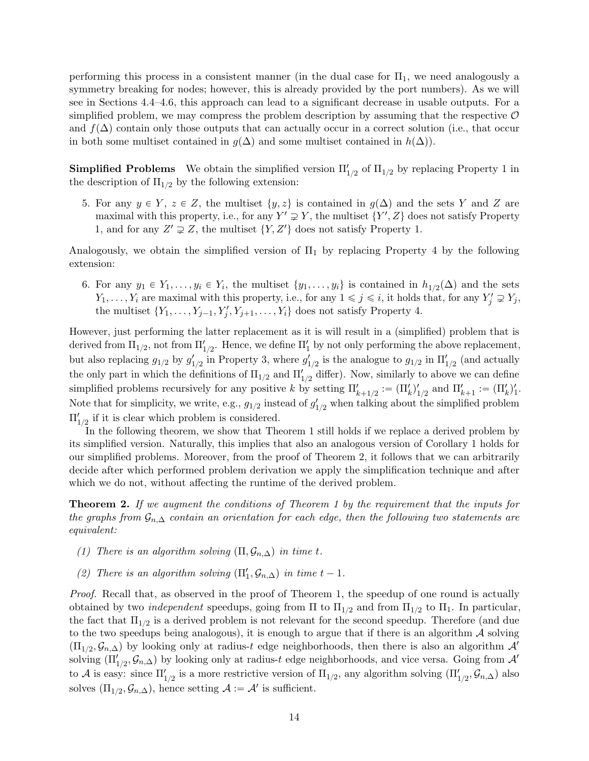performing this process in a consistent manner (in the dual case for  $\Pi_1$ , we need analogously a symmetry breaking for nodes; however, this is already provided by the port numbers). As we will see in Sections [4.4–](#page-16-0)[4.6,](#page-20-0) this approach can lead to a significant decrease in usable outputs. For a simplified problem, we may compress the problem description by assuming that the respective  $\mathcal O$ and  $f(\Delta)$  contain only those outputs that can actually occur in a correct solution (i.e., that occur in both some multiset contained in  $g(\Delta)$  and some multiset contained in  $h(\Delta)$ .

**Simplified Problems** We obtain the simplified version  $\Pi'_{1/2}$  $\Pi'_{1/2}$  $\Pi'_{1/2}$  of  $\Pi_{1/2}$  by replacing Property 1 in the description of  $\Pi_{1/2}$  by the following extension:

<span id="page-14-1"></span>5. For any  $y \in Y$ ,  $z \in Z$ , the multiset  $\{y, z\}$  is contained in  $g(\Delta)$  and the sets Y and Z are maximal with this property, i.e., for any  $Y' \supsetneq Y$ , the multiset  $\{Y', Z\}$  does not satisfy Property [1,](#page-10-1) and for any  $Z' \supsetneq Z$ , the multiset  $\{Y, Z'\}$  does not satisfy Property [1.](#page-10-1)

Analogously, we obtain the simplified version of  $\Pi_1$  by replacing Property [4](#page-11-2) by the following extension:

6. For any  $y_1 \in Y_1, \ldots, y_i \in Y_i$ , the multiset  $\{y_1, \ldots, y_i\}$  is contained in  $h_{1/2}(\Delta)$  and the sets  $Y_1, \ldots, Y_i$  are maximal with this property, i.e., for any  $1 \leq j \leq i$ , it holds that, for any  $Y'_j \supsetneq Y_j$ , the multiset  $\{Y_1, \ldots, Y_{j-1}, Y'_j, Y_{j+1}, \ldots, Y_i\}$  does not satisfy Property [4.](#page-11-2)

However, just performing the latter replacement as it is will result in a (simplified) problem that is derived from  $\Pi_{1/2}$ , not from  $\Pi'_{1/2}$ . Hence, we define  $\Pi'_{1}$  by not only performing the above replacement, but also replacing  $g_{1/2}$  by  $g'_{1/2}$  in Property [3,](#page-11-1) where  $g'_{1/2}$  is the analogue to  $g_{1/2}$  in  $\Pi'_{1/2}$  (and actually the only part in which the definitions of  $\Pi_{1/2}$  and  $\Pi'_{1/2}$  differ). Now, similarly to above we can define simplified problems recursively for any positive k by setting  $\Pi'_{k+1/2} := (\Pi'_k)'_{1/2}$  and  $\Pi'_{k+1} := (\Pi'_k)'_1$ . Note that for simplicity, we write, e.g.,  $g_{1/2}$  instead of  $g'_{1/2}$  when talking about the simplified problem  $\Pi_{1/2}'$  if it is clear which problem is considered.

In the following theorem, we show that Theorem [1](#page-12-0) still holds if we replace a derived problem by its simplified version. Naturally, this implies that also an analogous version of Corollary [1](#page-13-1) holds for our simplified problems. Moreover, from the proof of Theorem [2,](#page-14-0) it follows that we can arbitrarily decide after which performed problem derivation we apply the simplification technique and after which we do not, without affecting the runtime of the derived problem.

<span id="page-14-0"></span>**Theorem 2.** If we augment the conditions of Theorem [1](#page-12-0) by the requirement that the inputs for the graphs from  $\mathcal{G}_{n,\Delta}$  contain an orientation for each edge, then the following two statements are equivalent:

- (1) There is an algorithm solving  $(\Pi, \mathcal{G}_{n,\Delta})$  in time t.
- (2) There is an algorithm solving  $(\Pi'_1, \mathcal{G}_{n,\Delta})$  in time  $t 1$ .

Proof. Recall that, as observed in the proof of Theorem [1,](#page-12-0) the speedup of one round is actually obtained by two *independent* speedups, going from  $\Pi$  to  $\Pi_{1/2}$  and from  $\Pi_{1/2}$  to  $\Pi_1$ . In particular, the fact that  $\Pi_{1/2}$  is a derived problem is not relevant for the second speedup. Therefore (and due to the two speedups being analogous), it is enough to argue that if there is an algorithm  $\mathcal A$  solving  $(\Pi_{1/2}, \mathcal{G}_{n,\Delta})$  by looking only at radius-t edge neighborhoods, then there is also an algorithm  $\mathcal{A}'$ solving  $(\Pi'_{1/2}, \mathcal{G}_{n,\Delta})$  by looking only at radius-t edge neighborhoods, and vice versa. Going from  $\mathcal{A}'$ to A is easy: since  $\Pi'_{1/2}$  is a more restrictive version of  $\Pi_{1/2}$ , any algorithm solving  $(\Pi'_{1/2}, \mathcal{G}_{n,\Delta})$  also solves  $(\Pi_{1/2}, \mathcal{G}_{n,\Delta})$ , hence setting  $\mathcal{A} := \mathcal{A}'$  is sufficient.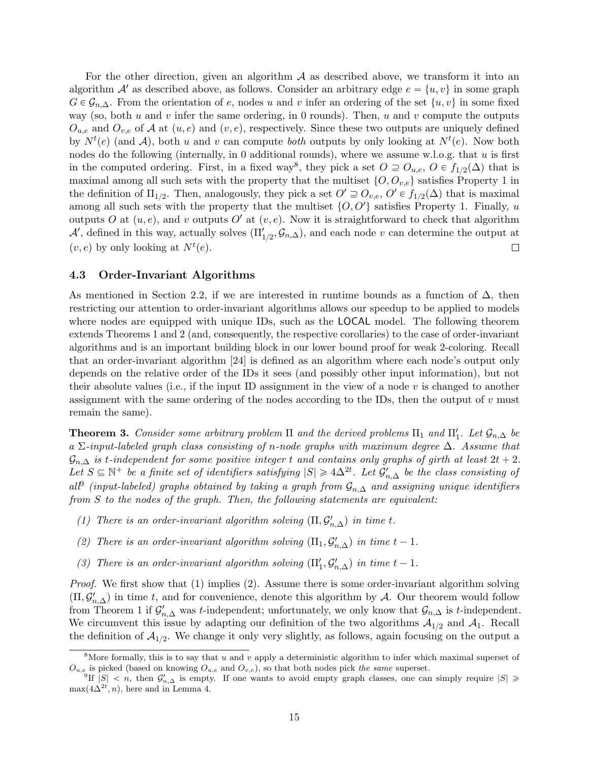For the other direction, given an algorithm  $A$  as described above, we transform it into an algorithm  $\mathcal{A}'$  as described above, as follows. Consider an arbitrary edge  $e = \{u, v\}$  in some graph  $G \in \mathcal{G}_{n,\Delta}$ . From the orientation of e, nodes u and v infer an ordering of the set  $\{u, v\}$  in some fixed way (so, both  $u$  and  $v$  infer the same ordering, in 0 rounds). Then,  $u$  and  $v$  compute the outputs  $O_{u,e}$  and  $O_{v,e}$  of A at  $(u, e)$  and  $(v, e)$ , respectively. Since these two outputs are uniquely defined by  $N^{t}(e)$  (and A), both u and v can compute both outputs by only looking at  $N^{t}(e)$ . Now both nodes do the following (internally, in 0 additional rounds), where we assume w.l.o.g. that  $u$  is first in the computed ordering. First, in a fixed way<sup>[8](#page-0-0)</sup>, they pick a set  $O \supseteq O_{u,e}$ ,  $O \in f_{1/2}(\Delta)$  that is maximal among all such sets with the property that the multiset  $\{O, O_{v,e}\}$  satisfies Property [1](#page-10-1) in the definition of  $\Pi_{1/2}$ . Then, analogously, they pick a set  $O' \supseteq O_{v,e}$ ,  $O' \in f_{1/2}(\Delta)$  that is maximal among all such sets with the property that the multiset  $\{O, O'\}$  satisfies Property [1.](#page-10-1) Finally, u outputs O at  $(u, e)$ , and v outputs O' at  $(v, e)$ . Now it is straightforward to check that algorithm  $\mathcal{A}'$ , defined in this way, actually solves  $(\Pi'_{1/2}, \mathcal{G}_{n,\Delta})$ , and each node v can determine the output at  $(v, e)$  by only looking at  $N^t(e)$ .  $\Box$ 

#### <span id="page-15-1"></span>4.3 Order-Invariant Algorithms

As mentioned in Section [2.2,](#page-4-0) if we are interested in runtime bounds as a function of  $\Delta$ , then restricting our attention to order-invariant algorithms allows our speedup to be applied to models where nodes are equipped with unique IDs, such as the LOCAL model. The following theorem extends Theorems [1](#page-12-0) and [2](#page-14-0) (and, consequently, the respective corollaries) to the case of order-invariant algorithms and is an important building block in our lower bound proof for weak 2-coloring. Recall that an order-invariant algorithm [\[24\]](#page-33-0) is defined as an algorithm where each node's output only depends on the relative order of the IDs it sees (and possibly other input information), but not their absolute values (i.e., if the input ID assignment in the view of a node v is changed to another assignment with the same ordering of the nodes according to the IDs, then the output of  $v$  must remain the same).

<span id="page-15-0"></span>**Theorem 3.** Consider some arbitrary problem  $\Pi$  and the derived problems  $\Pi_1$  and  $\Pi'_1$ . Let  $\mathcal{G}_{n,\Delta}$  be a  $\Sigma$ -input-labeled graph class consisting of n-node graphs with maximum degree  $\Delta$ . Assume that  $\mathcal{G}_{n,\Delta}$  is t-independent for some positive integer t and contains only graphs of girth at least  $2t + 2$ . Let  $S \subseteq \mathbb{N}^+$  be a finite set of identifiers satisfying  $|S| \geq 4\Delta^{2t}$ . Let  $\mathcal{G}'_{n,\Delta}$  be the class consisting of all<sup>[9](#page-0-0)</sup> (input-labeled) graphs obtained by taking a graph from  $\mathcal{G}_{n,\Delta}$  and assigning unique identifiers from S to the nodes of the graph. Then, the following statements are equivalent:

- (1) There is an order-invariant algorithm solving  $(\Pi, \mathcal{G}'_{n,\Delta})$  in time t.
- (2) There is an order-invariant algorithm solving  $(\Pi_1, \mathcal{G}'_{n,\Delta})$  in time  $t 1$ .
- (3) There is an order-invariant algorithm solving  $(\Pi'_1, \mathcal{G}'_{n,\Delta})$  in time  $t-1$ .

*Proof.* We first show that  $(1)$  implies  $(2)$ . Assume there is some order-invariant algorithm solving  $(\Pi, \mathcal{G}'_{n,\Delta})$  in time t, and for convenience, denote this algorithm by A. Our theorem would follow from Theorem [1](#page-12-0) if  $\mathcal{G}'_{n,\Delta}$  was t-independent; unfortunately, we only know that  $\mathcal{G}_{n,\Delta}$  is t-independent. We circumvent this issue by adapting our definition of the two algorithms  $A_{1/2}$  and  $A_1$ . Recall the definition of  $A_{1/2}$ . We change it only very slightly, as follows, again focusing on the output a

<sup>&</sup>lt;sup>8</sup>More formally, this is to say that u and v apply a deterministic algorithm to infer which maximal superset of  $O_{u,e}$  is picked (based on knowing  $O_{u,e}$  and  $O_{v,e}$ ), so that both nodes pick the same superset.

<sup>&</sup>lt;sup>9</sup>If  $|S| < n$ , then  $\mathcal{G}'_{n,\Delta}$  is empty. If one wants to avoid empty graph classes, one can simply require  $|S| \geq$  $\max(4\Delta^{2t}, n)$ , here and in Lemma [4.](#page-29-0)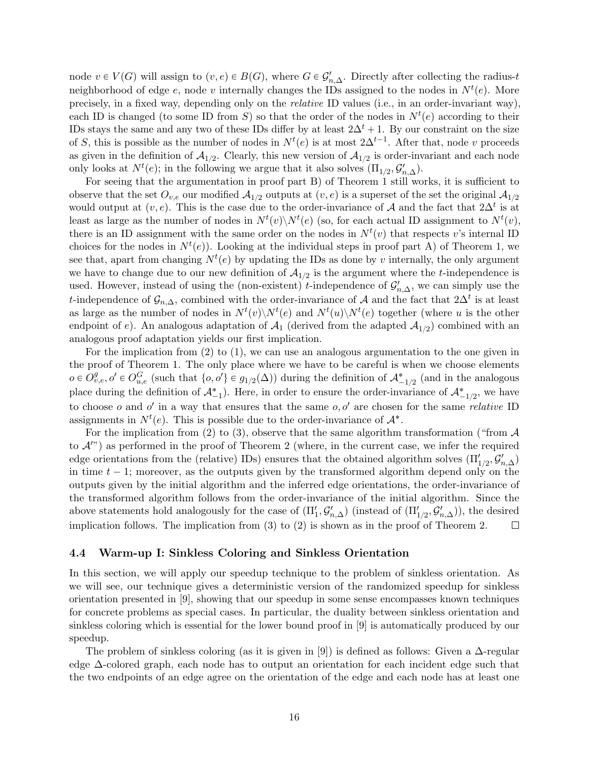node  $v \in V(G)$  will assign to  $(v, e) \in B(G)$ , where  $G \in \mathcal{G}'_{n,\Delta}$ . Directly after collecting the radius-t neighborhood of edge  $e$ , node v internally changes the IDs assigned to the nodes in  $N<sup>t</sup>(e)$ . More precisely, in a fixed way, depending only on the relative ID values (i.e., in an order-invariant way), each ID is changed (to some ID from S) so that the order of the nodes in  $N^{t}(e)$  according to their IDs stays the same and any two of these IDs differ by at least  $2\Delta^t + 1$ . By our constraint on the size of S, this is possible as the number of nodes in  $N^{t}(e)$  is at most  $2\Delta^{t-1}$ . After that, node v proceeds as given in the definition of  $A_{1/2}$ . Clearly, this new version of  $A_{1/2}$  is order-invariant and each node only looks at  $N^{t}(e)$ ; in the following we argue that it also solves  $(\Pi_{1/2}, \mathcal{G}'_{n,\Delta})$ .

For seeing that the argumentation in proof part B) of Theorem [1](#page-12-0) still works, it is sufficient to observe that the set  $O_{v,e}$  our modified  $A_{1/2}$  outputs at  $(v, e)$  is a superset of the set the original  $A_{1/2}$ would output at  $(v, e)$ . This is the case due to the order-invariance of A and the fact that  $2\Delta^t$  is at least as large as the number of nodes in  $N^{t}(v) \backslash N^{t}(e)$  (so, for each actual ID assignment to  $N^{t}(v)$ , there is an ID assignment with the same order on the nodes in  $N<sup>t</sup>(v)$  that respects v's internal ID choices for the nodes in  $N^t(e)$ ). Looking at the individual steps in proof part A) of Theorem [1,](#page-12-0) we see that, apart from changing  $N^t(e)$  by updating the IDs as done by v internally, the only argument we have to change due to our new definition of  $A_{1/2}$  is the argument where the t-independence is used. However, instead of using the (non-existent) t-independence of  $\mathcal{G}'_{n,\Delta}$ , we can simply use the t-independence of  $\mathcal{G}_{n,\Delta}$ , combined with the order-invariance of A and the fact that  $2\Delta^t$  is at least as large as the number of nodes in  $N^{t}(v) \backslash N^{t}(e)$  and  $N^{t}(u) \backslash N^{t}(e)$  together (where u is the other endpoint of e). An analogous adaptation of  $A_1$  (derived from the adapted  $A_{1/2}$ ) combined with an analogous proof adaptation yields our first implication.

For the implication from (2) to (1), we can use an analogous argumentation to the one given in the proof of Theorem [1.](#page-12-0) The only place where we have to be careful is when we choose elements  $o \in O_{v,e}^g, o' \in O_{u,e}^G$  (such that  $\{o, o'\} \in g_{1/2}(\Delta)$ ) during the definition of  $\mathcal{A}_{-1/2}^*$  (and in the analogous place during the definition of  $\mathcal{A}_{-1}^*$ ). Here, in order to ensure the order-invariance of  $\mathcal{A}_{-1/2}^*$ , we have to choose o and o' in a way that ensures that the same  $o, o'$  are chosen for the same *relative* ID assignments in  $N^t(e)$ . This is possible due to the order-invariance of  $\mathcal{A}^*$ .

For the implication from (2) to (3), observe that the same algorithm transformation ("from  $\mathcal A$ to  $\mathcal{A}^{\prime\prime}$ ) as performed in the proof of Theorem [2](#page-14-0) (where, in the current case, we infer the required edge orientations from the (relative) IDs) ensures that the obtained algorithm solves  $(\Pi'_{1/2}, \mathcal{G}'_{n,\Delta})$ in time  $t - 1$ ; moreover, as the outputs given by the transformed algorithm depend only on the outputs given by the initial algorithm and the inferred edge orientations, the order-invariance of the transformed algorithm follows from the order-invariance of the initial algorithm. Since the above statements hold analogously for the case of  $(\Pi'_1, \mathcal{G}'_{n,\Delta})$  (instead of  $(\Pi'_{1/2}, \mathcal{G}'_{n,\Delta})$ ), the desired implication follows. The implication from (3) to (2) is shown as in the proof of Theorem [2.](#page-14-0)  $\Box$ 

#### <span id="page-16-0"></span>4.4 Warm-up I: Sinkless Coloring and Sinkless Orientation

In this section, we will apply our speedup technique to the problem of sinkless orientation. As we will see, our technique gives a deterministic version of the randomized speedup for sinkless orientation presented in [\[9\]](#page-32-0), showing that our speedup in some sense encompasses known techniques for concrete problems as special cases. In particular, the duality between sinkless orientation and sinkless coloring which is essential for the lower bound proof in [\[9\]](#page-32-0) is automatically produced by our speedup.

The problem of sinkless coloring (as it is given in [\[9\]](#page-32-0)) is defined as follows: Given a  $\Delta$ -regular edge ∆-colored graph, each node has to output an orientation for each incident edge such that the two endpoints of an edge agree on the orientation of the edge and each node has at least one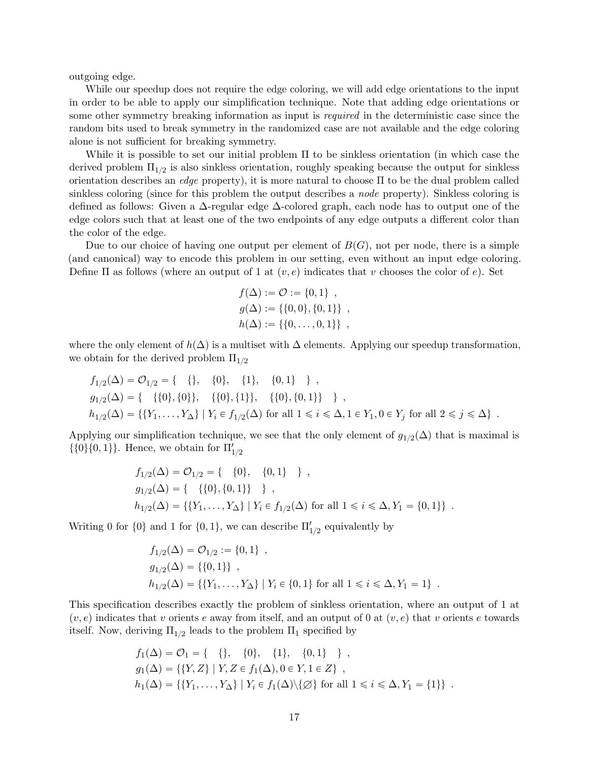outgoing edge.

While our speedup does not require the edge coloring, we will add edge orientations to the input in order to be able to apply our simplification technique. Note that adding edge orientations or some other symmetry breaking information as input is *required* in the deterministic case since the random bits used to break symmetry in the randomized case are not available and the edge coloring alone is not sufficient for breaking symmetry.

While it is possible to set our initial problem  $\Pi$  to be sinkless orientation (in which case the derived problem  $\Pi_{1/2}$  is also sinkless orientation, roughly speaking because the output for sinkless orientation describes an *edge* property), it is more natural to choose  $\Pi$  to be the dual problem called sinkless coloring (since for this problem the output describes a *node* property). Sinkless coloring is defined as follows: Given a ∆-regular edge ∆-colored graph, each node has to output one of the edge colors such that at least one of the two endpoints of any edge outputs a different color than the color of the edge.

Due to our choice of having one output per element of  $B(G)$ , not per node, there is a simple (and canonical) way to encode this problem in our setting, even without an input edge coloring. Define  $\Pi$  as follows (where an output of 1 at  $(v, e)$ ) indicates that v chooses the color of e). Set

$$
f(\Delta) := \mathcal{O} := \{0, 1\} ,
$$
  
\n
$$
g(\Delta) := \{\{0, 0\}, \{0, 1\}\} ,
$$
  
\n
$$
h(\Delta) := \{\{0, \dots, 0, 1\}\} ,
$$

where the only element of  $h(\Delta)$  is a multiset with  $\Delta$  elements. Applying our speedup transformation, we obtain for the derived problem  $\Pi_{1/2}$ 

$$
f_{1/2}(\Delta) = \mathcal{O}_{1/2} = \{ \{ \}, \{ 0 \}, \{ 1 \}, \{ 0, 1 \} \},
$$
  
\n
$$
g_{1/2}(\Delta) = \{ \{ \{ 0 \}, \{ 0 \} \}, \{ \{ 0 \}, \{ 1 \} \}, \{ \{ 0 \}, \{ 0, 1 \} \} \},
$$
  
\n
$$
h_{1/2}(\Delta) = \{ \{ Y_1, \ldots, Y_{\Delta} \} \mid Y_i \in f_{1/2}(\Delta) \text{ for all } 1 \le i \le \Delta, 1 \in Y_1, 0 \in Y_j \text{ for all } 2 \le j \le \Delta \}.
$$

Applying our simplification technique, we see that the only element of  $g_{1/2}(\Delta)$  that is maximal is  $\{\{0\}\{0,1\}\}\.$  Hence, we obtain for  $\Pi'_{1/2}$ 

$$
f_{1/2}(\Delta) = \mathcal{O}_{1/2} = \{ \{0\}, \{0, 1\} \} ,
$$
  
\n
$$
g_{1/2}(\Delta) = \{ \{ \{0\}, \{0, 1\} \} \} ,
$$
  
\n
$$
h_{1/2}(\Delta) = \{ \{ Y_1, \dots, Y_{\Delta} \} | Y_i \in f_{1/2}(\Delta) \text{ for all } 1 \le i \le \Delta, Y_1 = \{0, 1\} \} .
$$

Writing 0 for  $\{0\}$  and 1 for  $\{0, 1\}$ , we can describe  $\Pi'_{1/2}$  equivalently by

$$
f_{1/2}(\Delta) = \mathcal{O}_{1/2} := \{0, 1\} ,
$$
  
\n
$$
g_{1/2}(\Delta) = \{\{0, 1\}\},
$$
  
\n
$$
h_{1/2}(\Delta) = \{\{Y_1, \dots, Y_{\Delta}\} \mid Y_i \in \{0, 1\} \text{ for all } 1 \leq i \leq \Delta, Y_1 = 1\} .
$$

This specification describes exactly the problem of sinkless orientation, where an output of 1 at  $(v, e)$  indicates that v orients e away from itself, and an output of 0 at  $(v, e)$  that v orients e towards itself. Now, deriving  $\Pi_{1/2}$  leads to the problem  $\Pi_1$  specified by

$$
f_1(\Delta) = \mathcal{O}_1 = \{ \{ \}, \{ 0 \}, \{ 1 \}, \{ 0, 1 \} \},
$$
  
\n
$$
g_1(\Delta) = \{ \{ Y, Z \} \mid Y, Z \in f_1(\Delta), 0 \in Y, 1 \in Z \},
$$
  
\n
$$
h_1(\Delta) = \{ \{ Y_1, \dots, Y_{\Delta} \} \mid Y_i \in f_1(\Delta) \setminus \{ \emptyset \} \text{ for all } 1 \leq i \leq \Delta, Y_1 = \{ 1 \} \}.
$$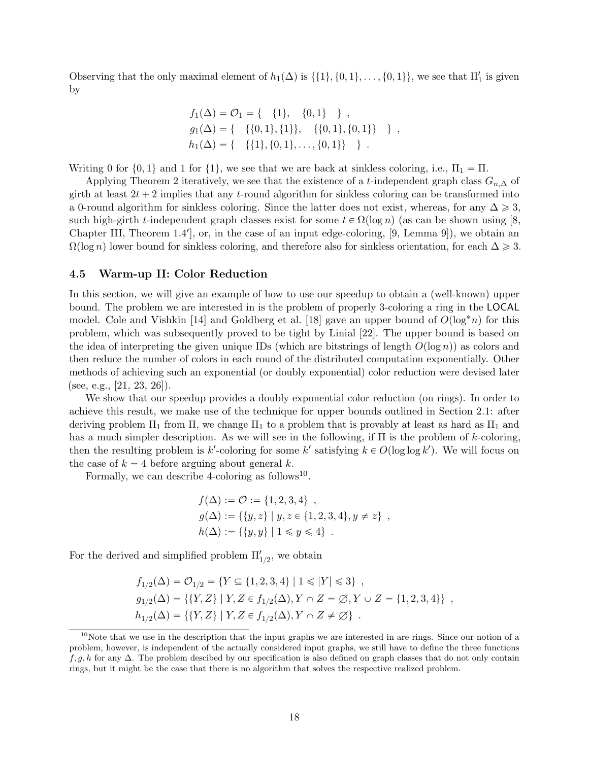Observing that the only maximal element of  $h_1(\Delta)$  is  $\{\{1\}, \{0, 1\}, \ldots, \{0, 1\}\}\$ , we see that  $\Pi'_1$  is given by

$$
f_1(\Delta) = \mathcal{O}_1 = \{ \{1\}, \{0,1\} \},
$$
  
\n
$$
g_1(\Delta) = \{ \{(0,1), \{1\}\}, \{(0,1), \{0,1\}\} \},
$$
  
\n
$$
h_1(\Delta) = \{ \{\{1\}, \{0,1\}, \dots, \{0,1\}\} \}.
$$

Writing 0 for  $\{0, 1\}$  and 1 for  $\{1\}$ , we see that we are back at sinkless coloring, i.e.,  $\Pi_1 = \Pi$ .

Applying Theorem [2](#page-14-0) iteratively, we see that the existence of a t-independent graph class  $G_{n,\Delta}$  of girth at least  $2t + 2$  implies that any t-round algorithm for sinkless coloring can be transformed into a 0-round algorithm for sinkless coloring. Since the latter does not exist, whereas, for any  $\Delta \geq 3$ , such high-girth t-independent graph classes exist for some  $t \in \Omega(\log n)$  (as can be shown using [\[8,](#page-32-12) Chapter III, Theorem 1.4', or, in the case of an input edge-coloring, [\[9,](#page-32-0) Lemma 9]), we obtain an  $\Omega(\log n)$  lower bound for sinkless coloring, and therefore also for sinkless orientation, for each  $\Delta \geq 3$ .

#### <span id="page-18-0"></span>4.5 Warm-up II: Color Reduction

In this section, we will give an example of how to use our speedup to obtain a (well-known) upper bound. The problem we are interested in is the problem of properly 3-coloring a ring in the LOCAL model. Cole and Vishkin [\[14\]](#page-32-1) and Goldberg et al. [\[18\]](#page-33-3) gave an upper bound of  $O(\log^* n)$  for this problem, which was subsequently proved to be tight by Linial [\[22\]](#page-33-1). The upper bound is based on the idea of interpreting the given unique IDs (which are bitstrings of length  $O(\log n)$ ) as colors and then reduce the number of colors in each round of the distributed computation exponentially. Other methods of achieving such an exponential (or doubly exponential) color reduction were devised later  $(see, e.g., [21, 23, 26]).$  $(see, e.g., [21, 23, 26]).$  $(see, e.g., [21, 23, 26]).$  $(see, e.g., [21, 23, 26]).$  $(see, e.g., [21, 23, 26]).$  $(see, e.g., [21, 23, 26]).$  $(see, e.g., [21, 23, 26]).$ 

We show that our speedup provides a doubly exponential color reduction (on rings). In order to achieve this result, we make use of the technique for upper bounds outlined in Section [2.1:](#page-3-0) after deriving problem  $\Pi_1$  from  $\Pi$ , we change  $\Pi_1$  to a problem that is provably at least as hard as  $\Pi_1$  and has a much simpler description. As we will see in the following, if  $\Pi$  is the problem of k-coloring, then the resulting problem is k'-coloring for some k' satisfying  $k \in O(\log \log k')$ . We will focus on the case of  $k = 4$  before arguing about general k.

Formally, we can describe 4-coloring as follows<sup>[10](#page-0-0)</sup>.

$$
f(\Delta) := \mathcal{O} := \{1, 2, 3, 4\},
$$
  
\n
$$
g(\Delta) := \{\{y, z\} \mid y, z \in \{1, 2, 3, 4\}, y \neq z\},
$$
  
\n
$$
h(\Delta) := \{\{y, y\} \mid 1 \leq y \leq 4\}.
$$

For the derived and simplified problem  $\Pi'_{1/2}$ , we obtain

$$
f_{1/2}(\Delta) = \mathcal{O}_{1/2} = \{ Y \subseteq \{1, 2, 3, 4\} \mid 1 \le |Y| \le 3 \},
$$
  
\n
$$
g_{1/2}(\Delta) = \{ \{Y, Z\} \mid Y, Z \in f_{1/2}(\Delta), Y \cap Z = \emptyset, Y \cup Z = \{1, 2, 3, 4\} \},
$$
  
\n
$$
h_{1/2}(\Delta) = \{ \{Y, Z\} \mid Y, Z \in f_{1/2}(\Delta), Y \cap Z \neq \emptyset \}.
$$

 $10$ Note that we use in the description that the input graphs we are interested in are rings. Since our notion of a problem, however, is independent of the actually considered input graphs, we still have to define the three functions  $f, g, h$  for any  $\Delta$ . The problem descibed by our specification is also defined on graph classes that do not only contain rings, but it might be the case that there is no algorithm that solves the respective realized problem.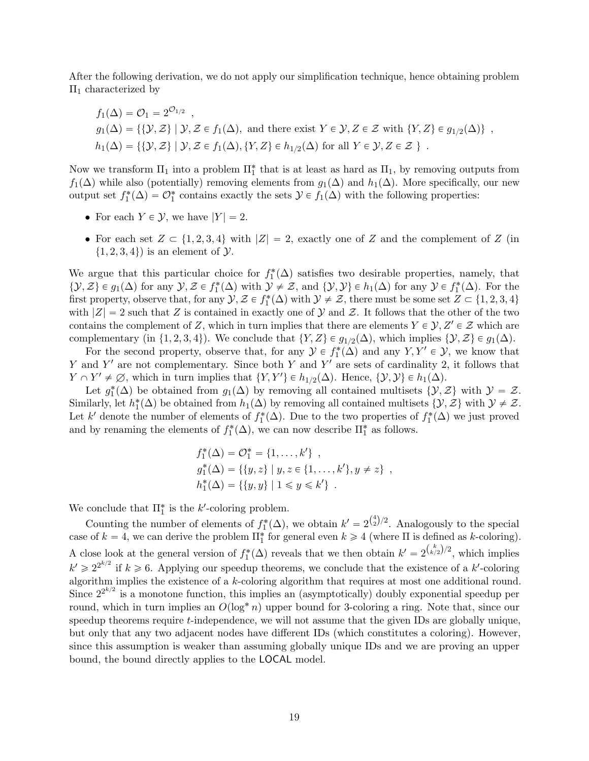After the following derivation, we do not apply our simplification technique, hence obtaining problem  $\Pi$ <sub>1</sub> characterized by

$$
f_1(\Delta) = \mathcal{O}_1 = 2^{\mathcal{O}_{1/2}},
$$
  
\n
$$
g_1(\Delta) = \{ \{ \mathcal{Y}, \mathcal{Z} \} \mid \mathcal{Y}, \mathcal{Z} \in f_1(\Delta), \text{ and there exist } Y \in \mathcal{Y}, Z \in \mathcal{Z} \text{ with } \{ Y, Z \} \in g_{1/2}(\Delta) \},
$$
  
\n
$$
h_1(\Delta) = \{ \{ \mathcal{Y}, \mathcal{Z} \} \mid \mathcal{Y}, \mathcal{Z} \in f_1(\Delta), \{ Y, Z \} \in h_{1/2}(\Delta) \text{ for all } Y \in \mathcal{Y}, Z \in \mathcal{Z} \}.
$$

Now we transform  $\Pi_1$  into a problem  $\Pi_1^*$  that is at least as hard as  $\Pi_1$ , by removing outputs from  $f_1(\Delta)$  while also (potentially) removing elements from  $g_1(\Delta)$  and  $h_1(\Delta)$ . More specifically, our new output set  $f_1^*(\Delta) = \mathcal{O}_1^*$  contains exactly the sets  $\mathcal{Y} \in f_1(\Delta)$  with the following properties:

- For each  $Y \in \mathcal{Y}$ , we have  $|Y| = 2$ .
- For each set  $Z \subset \{1, 2, 3, 4\}$  with  $|Z| = 2$ , exactly one of Z and the complement of Z (in  $\{1, 2, 3, 4\}$  is an element of  $\mathcal{Y}$ .

We argue that this particular choice for  $f_1^*(\Delta)$  satisfies two desirable properties, namely, that  $\{\mathcal{Y}, \mathcal{Z}\}\in g_1(\Delta)$  for any  $\mathcal{Y}, \mathcal{Z}\in f_1^*(\Delta)$  with  $\mathcal{Y}\neq \mathcal{Z}$ , and  $\{\mathcal{Y}, \mathcal{Y}\}\in h_1(\Delta)$  for any  $\mathcal{Y}\in f_1^*(\Delta)$ . For the first property, observe that, for any  $\mathcal{Y}, \mathcal{Z} \in f_1^*(\Delta)$  with  $\mathcal{Y} \neq \mathcal{Z}$ , there must be some set  $Z \subset \{1, 2, 3, 4\}$ with  $|Z| = 2$  such that Z is contained in exactly one of Y and Z. It follows that the other of the two contains the complement of Z, which in turn implies that there are elements  $Y \in \mathcal{Y}, Z' \in \mathcal{Z}$  which are complementary (in  $\{1, 2, 3, 4\}$ ). We conclude that  $\{Y, Z\} \in g_{1/2}(\Delta)$ , which implies  $\{\mathcal{Y}, \mathcal{Z}\} \in g_1(\Delta)$ .

For the second property, observe that, for any  $\mathcal{Y} \in f_1^*(\Delta)$  and any  $Y, Y' \in \mathcal{Y}$ , we know that Y and Y' are not complementary. Since both Y and Y' are sets of cardinality 2, it follows that  $Y \cap Y' \neq \emptyset$ , which in turn implies that  $\{Y, Y'\} \in h_{1/2}(\Delta)$ . Hence,  $\{Y, Y\} \in h_1(\Delta)$ .

Let  $g_1^*(\Delta)$  be obtained from  $g_1(\Delta)$  by removing all contained multisets  $\{\mathcal{Y}, \mathcal{Z}\}\$  with  $\mathcal{Y} = \mathcal{Z}$ . Similarly, let  $h_1^*(\Delta)$  be obtained from  $h_1(\Delta)$  by removing all contained multisets  $\{\mathcal{Y}, \mathcal{Z}\}$  with  $\mathcal{Y} \neq \mathcal{Z}$ . Let k' denote the number of elements of  $f_1^*(\Delta)$ . Due to the two properties of  $f_1^*(\Delta)$  we just proved and by renaming the elements of  $f_1^*(\Delta)$ , we can now describe  $\Pi_1^*$  as follows.

$$
f_1^*(\Delta) = \mathcal{O}_1^* = \{1, ..., k'\},
$$
  
\n
$$
g_1^*(\Delta) = \{\{y, z\} \mid y, z \in \{1, ..., k'\}, y \neq z\},
$$
  
\n
$$
h_1^*(\Delta) = \{\{y, y\} \mid 1 \leq y \leq k'\}.
$$

We conclude that  $\Pi_1^*$  is the k'-coloring problem.

Counting the number of elements of  $f_1^*(\Delta)$ , we obtain  $k' = 2^{\binom{4}{2}/2}$ . Analogously to the special case of  $k = 4$ , we can derive the problem  $\prod_{1}^{*}$  for general even  $k \geq 4$  (where  $\Pi$  is defined as k-coloring). A close look at the general version of  $f_1^*(\Delta)$  reveals that we then obtain  $k' = 2^{\binom{k}{k/2}}^2$ , which implies  $k' \geq 2^{2^{k/2}}$  if  $k \geq 6$ . Applying our speedup theorems, we conclude that the existence of a k'-coloring algorithm implies the existence of a k-coloring algorithm that requires at most one additional round. Since  $2^{2^{k/2}}$  is a monotone function, this implies an (asymptotically) doubly exponential speedup per round, which in turn implies an  $O(\log^* n)$  upper bound for 3-coloring a ring. Note that, since our speedup theorems require t-independence, we will not assume that the given IDs are globally unique, but only that any two adjacent nodes have different IDs (which constitutes a coloring). However, since this assumption is weaker than assuming globally unique IDs and we are proving an upper bound, the bound directly applies to the LOCAL model.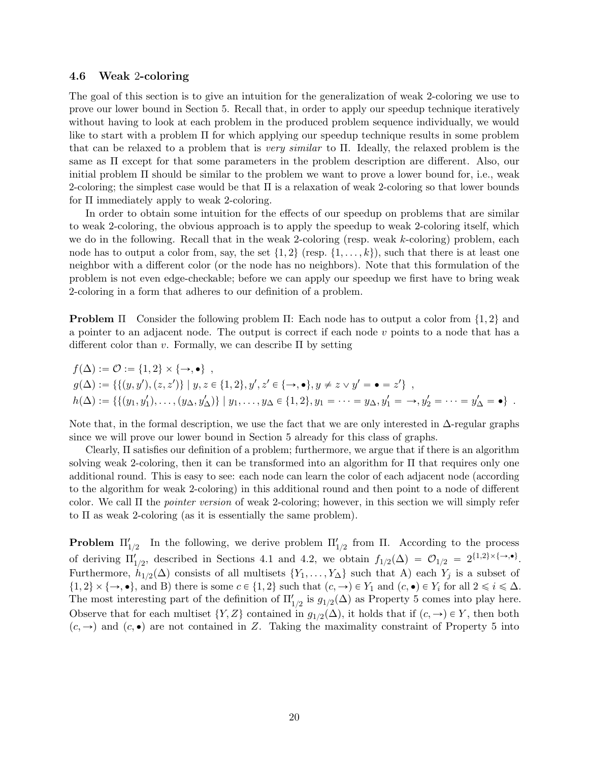#### <span id="page-20-0"></span>4.6 Weak 2-coloring

The goal of this section is to give an intuition for the generalization of weak 2-coloring we use to prove our lower bound in Section [5.](#page-23-0) Recall that, in order to apply our speedup technique iteratively without having to look at each problem in the produced problem sequence individually, we would like to start with a problem  $\Pi$  for which applying our speedup technique results in some problem that can be relaxed to a problem that is very similar to  $\Pi$ . Ideally, the relaxed problem is the same as Π except for that some parameters in the problem description are different. Also, our initial problem  $\Pi$  should be similar to the problem we want to prove a lower bound for, i.e., weak 2-coloring; the simplest case would be that Π is a relaxation of weak 2-coloring so that lower bounds for Π immediately apply to weak 2-coloring.

In order to obtain some intuition for the effects of our speedup on problems that are similar to weak 2-coloring, the obvious approach is to apply the speedup to weak 2-coloring itself, which we do in the following. Recall that in the weak 2-coloring (resp. weak k-coloring) problem, each node has to output a color from, say, the set  $\{1, 2\}$  (resp.  $\{1, \ldots, k\}$ ), such that there is at least one neighbor with a different color (or the node has no neighbors). Note that this formulation of the problem is not even edge-checkable; before we can apply our speedup we first have to bring weak 2-coloring in a form that adheres to our definition of a problem.

**Problem**  $\Pi$  Consider the following problem  $\Pi$ : Each node has to output a color from  $\{1, 2\}$  and a pointer to an adjacent node. The output is correct if each node  $v$  points to a node that has a different color than v. Formally, we can describe  $\Pi$  by setting

$$
f(\Delta) := \mathcal{O} := \{1, 2\} \times \{\rightarrow, \bullet\},
$$
  
\n
$$
g(\Delta) := \{ \{ (y, y'), (z, z') \} \mid y, z \in \{1, 2\}, y', z' \in \{\rightarrow, \bullet\}, y \neq z \lor y' = \bullet = z' \},
$$
  
\n
$$
h(\Delta) := \{ \{ (y_1, y'_1), \dots, (y_\Delta, y'_\Delta) \} \mid y_1, \dots, y_\Delta \in \{1, 2\}, y_1 = \dots = y_\Delta, y'_1 = \rightarrow, y'_2 = \dots = y'_\Delta = \bullet \}.
$$

Note that, in the formal description, we use the fact that we are only interested in  $\Delta$ -regular graphs since we will prove our lower bound in Section [5](#page-23-0) already for this class of graphs.

Clearly, Π satisfies our definition of a problem; furthermore, we argue that if there is an algorithm solving weak 2-coloring, then it can be transformed into an algorithm for Π that requires only one additional round. This is easy to see: each node can learn the color of each adjacent node (according to the algorithm for weak 2-coloring) in this additional round and then point to a node of different color. We call Π the pointer version of weak 2-coloring; however, in this section we will simply refer to Π as weak 2-coloring (as it is essentially the same problem).

**Problem**  $\Pi'_{1/2}$  In the following, we derive problem  $\Pi'_{1/2}$  from  $\Pi$ . According to the process of deriving  $\Pi'_{1/2}$ , described in Sections [4.1](#page-10-0) and [4.2,](#page-13-0) we obtain  $f_{1/2}(\Delta) = \mathcal{O}_{1/2} = 2^{\{1,2\} \times {\{\rightarrow, \bullet\}}}$ . Furthermore,  $h_{1/2}(\Delta)$  consists of all multisets  $\{Y_1, \ldots, Y_{\Delta}\}\$  such that A) each  $Y_j$  is a subset of  $\{1, 2\} \times \{\rightarrow, \bullet\}$ , and B) there is some  $c \in \{1, 2\}$  such that  $(c, \rightarrow) \in Y_1$  and  $(c, \bullet) \in Y_i$  for all  $2 \leq i \leq \Delta$ . The most interesting part of the definition of  $\Pi'_{1/2}$  is  $g_{1/2}(\Delta)$  as Property [5](#page-14-1) comes into play here. Observe that for each multiset  $\{Y, Z\}$  contained in  $g_{1/2}(\Delta)$ , it holds that if  $(c, \rightarrow) \in Y$ , then both  $(c, \rightarrow)$  and  $(c, \bullet)$  are not contained in Z. Taking the maximality constraint of Property [5](#page-14-1) into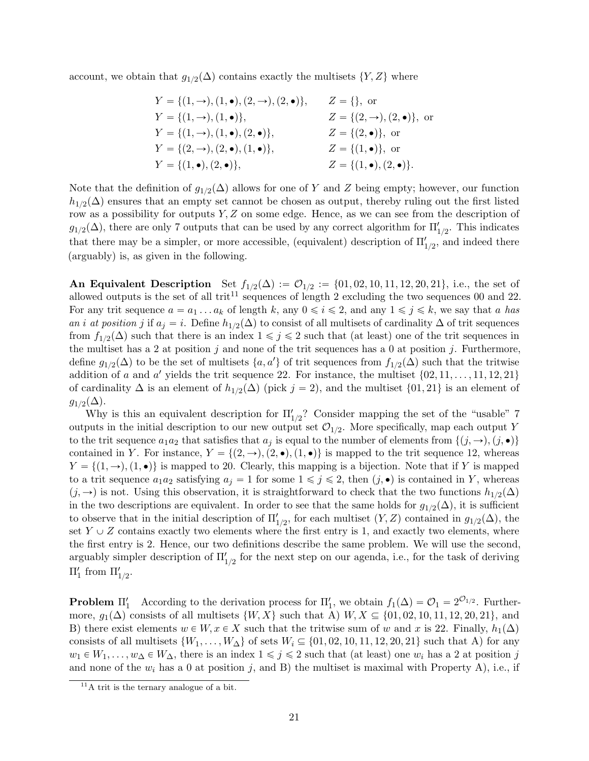account, we obtain that  $g_{1/2}(\Delta)$  contains exactly the multisets  $\{Y, Z\}$  where

| $Y = \{(1, \rightarrow), (1, \bullet), (2, \rightarrow), (2, \bullet)\},\$ | $Z = \{\}, \text{ or }$                       |
|----------------------------------------------------------------------------|-----------------------------------------------|
| $Y = \{(1, \rightarrow), (1, \bullet)\},\$                                 | $Z = \{(2, \rightarrow), (2, \bullet)\}\,$ or |
| $Y = \{(1, \rightarrow), (1, \bullet), (2, \bullet)\},\$                   | $Z = \{(2, \bullet)\}\,$ or                   |
| $Y = \{(2, \rightarrow), (2, \bullet), (1, \bullet)\},\$                   | $Z = \{(1, \bullet)\}\,$ or                   |
| $Y = \{(1, \bullet), (2, \bullet)\},\$                                     | $Z = \{(1, \bullet), (2, \bullet)\}.$         |

Note that the definition of  $g_{1/2}(\Delta)$  allows for one of Y and Z being empty; however, our function  $h_{1/2}(\Delta)$  ensures that an empty set cannot be chosen as output, thereby ruling out the first listed row as a possibility for outputs  $Y, Z$  on some edge. Hence, as we can see from the description of  $g_{1/2}(\Delta)$ , there are only 7 outputs that can be used by any correct algorithm for  $\Pi'_{1/2}$ . This indicates that there may be a simpler, or more accessible, (equivalent) description of  $\Pi'_{1/2}$ , and indeed there (arguably) is, as given in the following.

An Equivalent Description Set  $f_{1/2}(\Delta) := \mathcal{O}_{1/2} := \{01, 02, 10, 11, 12, 20, 21\}$ , i.e., the set of allowed outputs is the set of all trit<sup>[11](#page-0-0)</sup> sequences of length 2 excluding the two sequences 00 and 22. For any trit sequence  $a = a_1 \dots a_k$  of length k, any  $0 \le i \le 2$ , and any  $1 \le j \le k$ , we say that a has an i at position j if  $a_j = i$ . Define  $h_{1/2}(\Delta)$  to consist of all multisets of cardinality  $\Delta$  of trit sequences from  $f_{1/2}(\Delta)$  such that there is an index  $1 \leqslant j \leqslant 2$  such that (at least) one of the trit sequences in the multiset has a 2 at position j and none of the trit sequences has a 0 at position j. Furthermore, define  $g_{1/2}(\Delta)$  to be the set of multisets  $\{a, a'\}$  of trit sequences from  $f_{1/2}(\Delta)$  such that the tritwise addition of a and a' yields the trit sequence 22. For instance, the multiset  $\{02, 11, \ldots, 11, 12, 21\}$ of cardinality  $\Delta$  is an element of  $h_{1/2}(\Delta)$  (pick  $j = 2$ ), and the multiset  $\{01, 21\}$  is an element of  $g_{1/2}(\Delta)$ .

Why is this an equivalent description for  $\Pi'_{1/2}$ ? Consider mapping the set of the "usable" 7 outputs in the initial description to our new output set  $\mathcal{O}_{1/2}$ . More specifically, map each output Y to the trit sequence  $a_1a_2$  that satisfies that  $a_j$  is equal to the number of elements from  $\{(j,\rightarrow), (j,\bullet)\}\$ contained in Y. For instance,  $Y = \{(2, \rightarrow), (2, \bullet), (1, \bullet)\}\$ is mapped to the trit sequence 12, whereas  $Y = \{(1, \rightarrow), (1, \bullet)\}\$ is mapped to 20. Clearly, this mapping is a bijection. Note that if Y is mapped to a trit sequence  $a_1a_2$  satisfying  $a_j = 1$  for some  $1 \leq j \leq 2$ , then  $(j, \bullet)$  is contained in Y, whereas  $(j, \rightarrow)$  is not. Using this observation, it is straightforward to check that the two functions  $h_{1/2}(\Delta)$ in the two descriptions are equivalent. In order to see that the same holds for  $g_{1/2}(\Delta)$ , it is sufficient to observe that in the initial description of  $\Pi'_{1/2}$ , for each multiset  $(Y, Z)$  contained in  $g_{1/2}(\Delta)$ , the set  $Y \cup Z$  contains exactly two elements where the first entry is 1, and exactly two elements, where the first entry is 2. Hence, our two definitions describe the same problem. We will use the second, arguably simpler description of  $\Pi'_{1/2}$  for the next step on our agenda, i.e., for the task of deriving  $\Pi'_{1}$  from  $\Pi'_{1/2}$ .

**Problem**  $\Pi'_1$  According to the derivation process for  $\Pi'_1$ , we obtain  $f_1(\Delta) = \mathcal{O}_1 = 2^{\mathcal{O}_{1/2}}$ . Furthermore,  $g_1(\Delta)$  consists of all multisets  $\{W, X\}$  such that A)  $W, X \subseteq \{01, 02, 10, 11, 12, 20, 21\}$ , and B) there exist elements  $w \in W$ ,  $x \in X$  such that the tritwise sum of w and x is 22. Finally,  $h_1(\Delta)$ consists of all multisets  $\{W_1, \ldots, W_{\Delta}\}\$  of sets  $W_i \subseteq \{01, 02, 10, 11, 12, 20, 21\}$  such that A) for any  $w_1 \in W_1, \ldots, w_\Delta \in W_\Delta$ , there is an index  $1 \leq j \leq 2$  such that (at least) one  $w_i$  has a 2 at position j and none of the  $w_i$  has a 0 at position j, and B) the multiset is maximal with Property A), i.e., if

 $11A$  trit is the ternary analogue of a bit.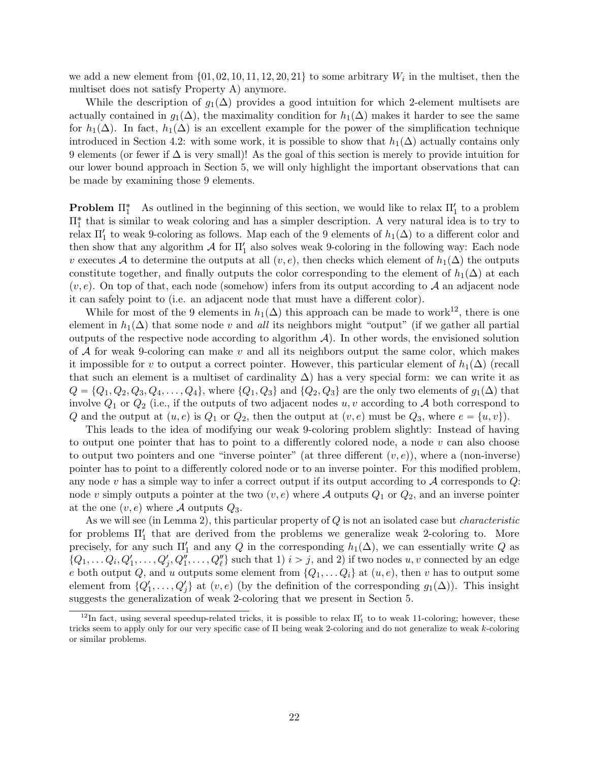we add a new element from  $\{01, 02, 10, 11, 12, 20, 21\}$  to some arbitrary  $W_i$  in the multiset, then the multiset does not satisfy Property A) anymore.

While the description of  $g_1(\Delta)$  provides a good intuition for which 2-element multisets are actually contained in  $g_1(\Delta)$ , the maximality condition for  $h_1(\Delta)$  makes it harder to see the same for  $h_1(\Delta)$ . In fact,  $h_1(\Delta)$  is an excellent example for the power of the simplification technique introduced in Section [4.2:](#page-13-0) with some work, it is possible to show that  $h_1(\Delta)$  actually contains only 9 elements (or fewer if  $\Delta$  is very small)! As the goal of this section is merely to provide intuition for our lower bound approach in Section [5,](#page-23-0) we will only highlight the important observations that can be made by examining those 9 elements.

**Problem**  $\Pi_1^*$  As outlined in the beginning of this section, we would like to relax  $\Pi_1'$  to a problem  $\Pi^*_1$  that is similar to weak coloring and has a simpler description. A very natural idea is to try to relax  $\Pi_1'$  to weak 9-coloring as follows. Map each of the 9 elements of  $h_1(\Delta)$  to a different color and then show that any algorithm  $\mathcal A$  for  $\Pi_1'$  also solves weak 9-coloring in the following way: Each node v executes A to determine the outputs at all  $(v, e)$ , then checks which element of  $h_1(\Delta)$  the outputs constitute together, and finally outputs the color corresponding to the element of  $h_1(\Delta)$  at each  $(v, e)$ . On top of that, each node (somehow) infers from its output according to A an adjacent node it can safely point to (i.e. an adjacent node that must have a different color).

While for most of the 9 elements in  $h_1(\Delta)$  this approach can be made to work<sup>[12](#page-0-0)</sup>, there is one element in  $h_1(\Delta)$  that some node v and all its neighbors might "output" (if we gather all partial outputs of the respective node according to algorithm  $\mathcal{A}$ ). In other words, the envisioned solution of  $A$  for weak 9-coloring can make v and all its neighbors output the same color, which makes it impossible for v to output a correct pointer. However, this particular element of  $h_1(\Delta)$  (recall that such an element is a multiset of cardinality  $\Delta$ ) has a very special form: we can write it as  $Q = \{Q_1, Q_2, Q_3, Q_4, \ldots, Q_4\}$ , where  $\{Q_1, Q_3\}$  and  $\{Q_2, Q_3\}$  are the only two elements of  $g_1(\Delta)$  that involve  $Q_1$  or  $Q_2$  (i.e., if the outputs of two adjacent nodes  $u, v$  according to A both correspond to Q and the output at  $(u, e)$  is  $Q_1$  or  $Q_2$ , then the output at  $(v, e)$  must be  $Q_3$ , where  $e = \{u, v\}$ .

This leads to the idea of modifying our weak 9-coloring problem slightly: Instead of having to output one pointer that has to point to a differently colored node, a node  $v$  can also choose to output two pointers and one "inverse pointer" (at three different  $(v, e)$ ), where a (non-inverse) pointer has to point to a differently colored node or to an inverse pointer. For this modified problem, any node v has a simple way to infer a correct output if its output according to  $A$  corresponds to  $Q$ : node v simply outputs a pointer at the two  $(v, e)$  where A outputs  $Q_1$  or  $Q_2$ , and an inverse pointer at the one  $(v, e)$  where A outputs  $Q_3$ .

As we will see (in Lemma [2\)](#page-26-0), this particular property of  $Q$  is not an isolated case but *characteristic* for problems  $\Pi_1'$  that are derived from the problems we generalize weak 2-coloring to. More precisely, for any such  $\Pi'_1$  and any Q in the corresponding  $h_1(\Delta)$ , we can essentially write Q as  $\{Q_1, \ldots Q_i, Q'_1, \ldots, Q'_j, Q''_1, \ldots, Q''_\ell\}$  such that 1)  $i > j$ , and 2) if two nodes  $u, v$  connected by an edge e both output Q, and u outputs some element from  $\{Q_1, \ldots Q_i\}$  at  $(u, e)$ , then v has to output some element from  $\{Q'_1, \ldots, Q'_j\}$  at  $(v, e)$  (by the definition of the corresponding  $g_1(\Delta)$ ). This insight suggests the generalization of weak 2-coloring that we present in Section [5.](#page-23-0)

<sup>&</sup>lt;sup>12</sup>In fact, using several speedup-related tricks, it is possible to relax  $\Pi'_1$  to to weak 11-coloring; however, these tricks seem to apply only for our very specific case of Π being weak 2-coloring and do not generalize to weak k-coloring or similar problems.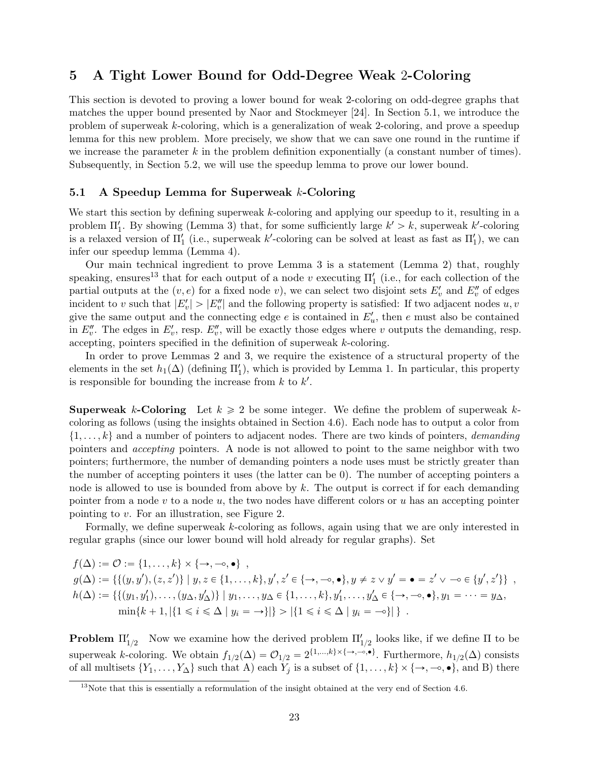## <span id="page-23-0"></span>5 A Tight Lower Bound for Odd-Degree Weak 2-Coloring

This section is devoted to proving a lower bound for weak 2-coloring on odd-degree graphs that matches the upper bound presented by Naor and Stockmeyer [\[24\]](#page-33-0). In Section [5.1,](#page-23-1) we introduce the problem of superweak k-coloring, which is a generalization of weak 2-coloring, and prove a speedup lemma for this new problem. More precisely, we show that we can save one round in the runtime if we increase the parameter  $k$  in the problem definition exponentially (a constant number of times). Subsequently, in Section [5.2,](#page-30-0) we will use the speedup lemma to prove our lower bound.

#### <span id="page-23-1"></span>5.1 A Speedup Lemma for Superweak k-Coloring

We start this section by defining superweak k-coloring and applying our speedup to it, resulting in a problem  $\Pi'_1$ . By showing (Lemma [3\)](#page-28-0) that, for some sufficiently large  $k' > k$ , superweak k'-coloring is a relaxed version of  $\Pi_1'$  (i.e., superweak k'-coloring can be solved at least as fast as  $\Pi_1'$ ), we can infer our speedup lemma (Lemma [4\)](#page-29-0).

Our main technical ingredient to prove Lemma [3](#page-28-0) is a statement (Lemma [2\)](#page-26-0) that, roughly speaking, ensures<sup>[13](#page-0-0)</sup> that for each output of a node v executing  $\Pi'_{1}$  (i.e., for each collection of the partial outputs at the  $(v, e)$  for a fixed node v), we can select two disjoint sets  $E'_v$  and  $E''_v$  of edges incident to v such that  $|E'_v| > |E''_v|$  and the following property is satisfied: If two adjacent nodes  $u, v$ give the same output and the connecting edge  $e$  is contained in  $E'_u$ , then  $e$  must also be contained in  $E_v''$ . The edges in  $E_v'$ , resp.  $E_v''$ , will be exactly those edges where v outputs the demanding, resp. accepting, pointers specified in the definition of superweak k-coloring.

In order to prove Lemmas [2](#page-26-0) and [3,](#page-28-0) we require the existence of a structural property of the elements in the set  $h_1(\Delta)$  (defining  $\Pi'_1$ ), which is provided by Lemma [1.](#page-25-0) In particular, this property is responsible for bounding the increase from  $k$  to  $k'$ .

**Superweak k-Coloring** Let  $k \geq 2$  be some integer. We define the problem of superweak kcoloring as follows (using the insights obtained in Section [4.6\)](#page-20-0). Each node has to output a color from  $\{1, \ldots, k\}$  and a number of pointers to adjacent nodes. There are two kinds of pointers, *demanding* pointers and accepting pointers. A node is not allowed to point to the same neighbor with two pointers; furthermore, the number of demanding pointers a node uses must be strictly greater than the number of accepting pointers it uses (the latter can be 0). The number of accepting pointers a node is allowed to use is bounded from above by  $k$ . The output is correct if for each demanding pointer from a node  $v$  to a node  $u$ , the two nodes have different colors or  $u$  has an accepting pointer pointing to v. For an illustration, see Figure [2.](#page-24-0)

Formally, we define superweak k-coloring as follows, again using that we are only interested in regular graphs (since our lower bound will hold already for regular graphs). Set

$$
f(\Delta) := \mathcal{O} := \{1, \ldots, k\} \times \{\rightarrow, -\circ, \bullet\},
$$
  
\n
$$
g(\Delta) := \{ \{ (y, y'), (z, z') \} \mid y, z \in \{1, \ldots, k\}, y', z' \in \{\rightarrow, -\circ, \bullet\}, y \neq z \lor y' = \bullet = z' \lor \neg\circ \in \{y', z'\} \},
$$
  
\n
$$
h(\Delta) := \{ \{ (y_1, y'_1), \ldots, (y_\Delta, y'_\Delta) \} \mid y_1, \ldots, y_\Delta \in \{1, \ldots, k\}, y'_1, \ldots, y'_\Delta \in \{\rightarrow, -\circ, \bullet\}, y_1 = \cdots = y_\Delta,
$$
  
\n
$$
\min\{k+1, |\{1 \leq i \leq \Delta \mid y_i = \rightarrow\}| \} > |\{1 \leq i \leq \Delta \mid y_i = -\circ\}| \}.
$$

**Problem**  $\Pi'_{1/2}$  Now we examine how the derived problem  $\Pi'_{1/2}$  looks like, if we define  $\Pi$  to be superweak k-coloring. We obtain  $f_{1/2}(\Delta) = \mathcal{O}_{1/2} = 2^{\{1,\ldots,k\} \times {\{\rightarrow,\bullet\}}}$ . Furthermore,  $h_{1/2}(\Delta)$  consists of all multisets  $\{Y_1, \ldots, Y_\Delta\}$  such that A) each  $Y_j$  is a subset of  $\{1, \ldots, k\} \times \{\rightarrow, \neg, \bullet\}$ , and B) there

 $13$ Note that this is essentially a reformulation of the insight obtained at the very end of Section [4.6.](#page-20-0)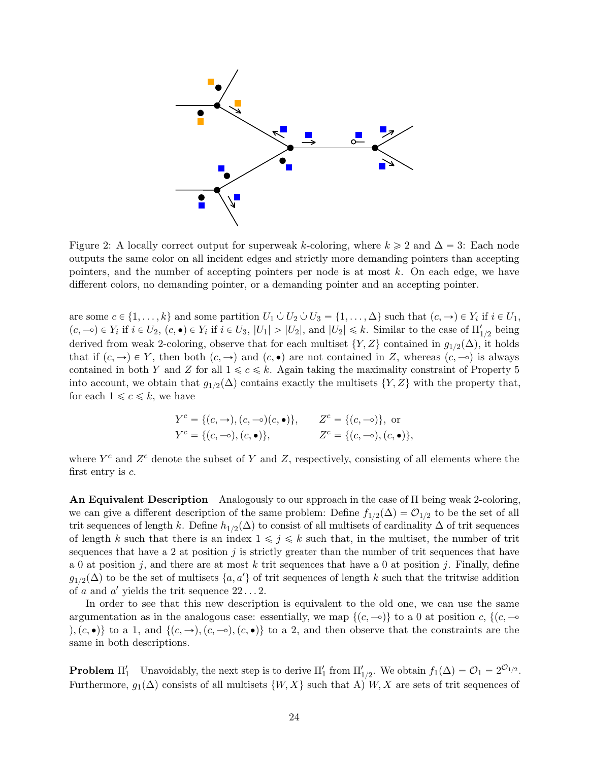

<span id="page-24-0"></span>Figure 2: A locally correct output for superweak k-coloring, where  $k \geq 2$  and  $\Delta = 3$ : Each node outputs the same color on all incident edges and strictly more demanding pointers than accepting pointers, and the number of accepting pointers per node is at most  $k$ . On each edge, we have different colors, no demanding pointer, or a demanding pointer and an accepting pointer.

are some  $c \in \{1, \ldots, k\}$  and some partition  $U_1 \cup U_2 \cup U_3 = \{1, \ldots, \Delta\}$  such that  $(c, \rightarrow) \in Y_i$  if  $i \in U_1$ ,  $(c, -\circ) \in Y_i$  if  $i \in U_2$ ,  $(c, \bullet) \in Y_i$  if  $i \in U_3$ ,  $|U_1| > |U_2|$ , and  $|U_2| \leq k$ . Similar to the case of  $\Pi'_{1/2}$  being derived from weak 2-coloring, observe that for each multiset  $\{Y, Z\}$  contained in  $g_{1/2}(\Delta)$ , it holds that if  $(c, \rightarrow) \in Y$ , then both  $(c, \rightarrow)$  and  $(c, \bullet)$  are not contained in Z, whereas  $(c, \neg o)$  is always contained in both Y and Z for all  $1 \leq c \leq k$ . Again taking the maximality constraint of Property [5](#page-14-1) into account, we obtain that  $g_{1/2}(\Delta)$  contains exactly the multisets  $\{Y, Z\}$  with the property that, for each  $1 \leq c \leq k$ , we have

$$
Y^{c} = \{(c, \rightarrow), (c, \multimap)(c, \bullet)\}, \qquad Z^{c} = \{(c, \multimap)\}, \text{ or}
$$
  

$$
Y^{c} = \{(c, \multimap), (c, \bullet)\}, \qquad Z^{c} = \{(c, \multimap), (c, \bullet)\},
$$

where  $Y^c$  and  $Z^c$  denote the subset of Y and Z, respectively, consisting of all elements where the first entry is  $c$ .

An Equivalent Description Analogously to our approach in the case of Π being weak 2-coloring, we can give a different description of the same problem: Define  $f_{1/2}(\Delta) = \mathcal{O}_{1/2}$  to be the set of all trit sequences of length k. Define  $h_{1/2}(\Delta)$  to consist of all multisets of cardinality  $\Delta$  of trit sequences of length k such that there is an index  $1 \leq j \leq k$  such that, in the multiset, the number of trit sequences that have a 2 at position  $j$  is strictly greater than the number of trit sequences that have a 0 at position j, and there are at most k trit sequences that have a 0 at position j. Finally, define  $g_{1/2}(\Delta)$  to be the set of multisets  $\{a, a'\}$  of trit sequences of length k such that the tritwise addition of a and a' yields the trit sequence  $22 \dots 2$ .

In order to see that this new description is equivalent to the old one, we can use the same argumentation as in the analogous case: essentially, we map  $\{(c,-\) \}$  to a 0 at position c,  $\{(c,-\)$  $\langle e, \bullet \rangle$  to a 1, and  $\{(c, \to), (c, \bullet)\}\$  to a 2, and then observe that the constraints are the same in both descriptions.

**Problem**  $\Pi'_1$  Unavoidably, the next step is to derive  $\Pi'_1$  from  $\Pi'_{1/2}$ . We obtain  $f_1(\Delta) = \mathcal{O}_1 = 2^{\mathcal{O}_{1/2}}$ . Furthermore,  $g_1(\Delta)$  consists of all multisets  $\{W, X\}$  such that A) W, X are sets of trit sequences of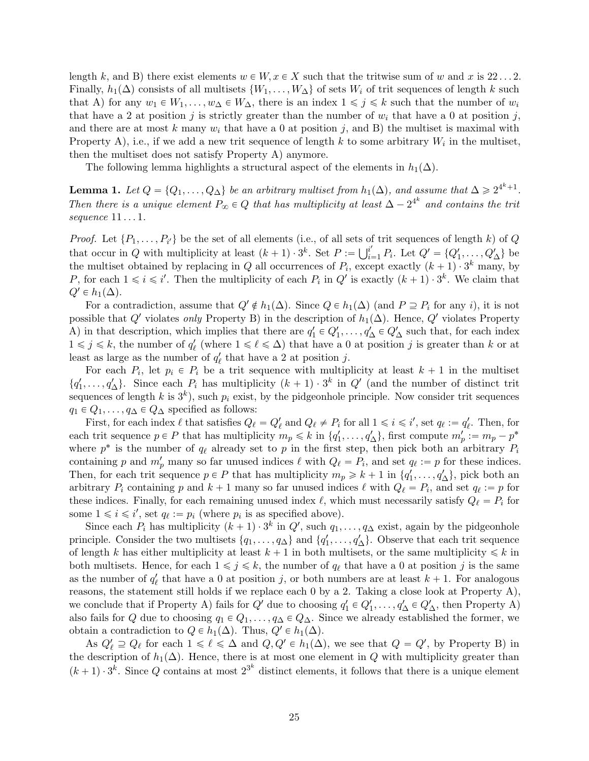length k, and B) there exist elements  $w \in W$ ,  $x \in X$  such that the tritwise sum of w and x is 22...2. Finally,  $h_1(\Delta)$  consists of all multisets  $\{W_1, \ldots, W_{\Delta}\}\$  of sets  $W_i$  of trit sequences of length k such that A) for any  $w_1 \in W_1, \ldots, w_\Delta \in W_\Delta$ , there is an index  $1 \leq j \leq k$  such that the number of  $w_i$ that have a 2 at position j is strictly greater than the number of  $w_i$  that have a 0 at position j, and there are at most k many  $w_i$  that have a 0 at position j, and B) the multiset is maximal with Property A), i.e., if we add a new trit sequence of length k to some arbitrary  $W_i$  in the multiset, then the multiset does not satisfy Property A) anymore.

The following lemma highlights a structural aspect of the elements in  $h_1(\Delta)$ .

<span id="page-25-0"></span>**Lemma 1.** Let  $Q = \{Q_1, \ldots, Q_{\Delta}\}\$  be an arbitrary multiset from  $h_1(\Delta)$ , and assume that  $\Delta \geq 2^{4^k+1}$ . Then there is a unique element  $P_{\infty} \in Q$  that has multiplicity at least  $\Delta - 2^{4^k}$  and contains the trit sequence  $11 \dots 1$ .

*Proof.* Let  $\{P_1, \ldots, P_{i'}\}$  be the set of all elements (i.e., of all sets of trit sequences of length k) of Q *Froof.* Let  $\{P_1, \ldots, P_{i'}\}$  be the set of an elements (i.e., or an sets of trit sequences of length  $\kappa$ ) or  $Q$  that occur in  $Q$  with multiplicity at least  $(k + 1) \cdot 3^k$ . Set  $P := \bigcup_{i=1}^{i'} P_i$ . Let  $Q' = \{Q'_1, \ldots, Q'$ the multiset obtained by replacing in Q all occurrences of  $P_i$ , except exactly  $(k+1) \cdot 3^k$  many, by P, for each  $1 \leq i \leq i'$ . Then the multiplicity of each  $P_i$  in  $Q'$  is exactly  $(k+1) \cdot 3^k$ . We claim that  $Q' \in h_1(\Delta)$ .

For a contradiction, assume that  $Q' \notin h_1(\Delta)$ . Since  $Q \in h_1(\Delta)$  (and  $P \supseteq P_i$  for any i), it is not possible that Q' violates only Property B) in the description of  $h_1(\Delta)$ . Hence, Q' violates Property A) in that description, which implies that there are  $q'_1 \in Q'_1, \ldots, q'_\Delta \in Q'_\Delta$  such that, for each index  $1 \leq j \leq k$ , the number of  $q'_\ell$  (where  $1 \leq \ell \leq \Delta$ ) that have a 0 at position j is greater than k or at least as large as the number of  $q'_{\ell}$  that have a 2 at position j.

For each  $P_i$ , let  $p_i \in P_i$  be a trit sequence with multiplicity at least  $k+1$  in the multiset  $\{q'_1,\ldots,q'_\Delta\}$ . Since each  $P_i$  has multiplicity  $(k+1) \cdot 3^k$  in  $Q'$  (and the number of distinct trit sequences of length k is  $3^k$ ), such  $p_i$  exist, by the pidgeonhole principle. Now consider trit sequences  $q_1 \in Q_1, \ldots, q_\Delta \in Q_\Delta$  specified as follows:

First, for each index  $\ell$  that satisfies  $Q_{\ell} = Q'_{\ell}$  and  $Q_{\ell} \neq P_i$  for all  $1 \leq i \leq i'$ , set  $q_{\ell} := q'_{\ell}$ . Then, for each trit sequence  $p \in P$  that has multiplicity  $m_p \leq k$  in  $\{q'_1, \ldots, q'_{\Delta}\}\$ , first compute  $m'_p := m_p - p^*$ where  $p^*$  is the number of  $q_\ell$  already set to p in the first step, then pick both an arbitrary  $P_i$ containing p and  $m'_p$  many so far unused indices  $\ell$  with  $Q_\ell = P_i$ , and set  $q_\ell := p$  for these indices. Then, for each trit sequence  $p \in P$  that has multiplicity  $m_p \geq k+1$  in  $\{q'_1, \ldots, q'_{\Delta}\}\$ , pick both an arbitrary  $P_i$  containing p and  $k + 1$  many so far unused indices  $\ell$  with  $Q_\ell = P_i$ , and set  $q_\ell := p$  for these indices. Finally, for each remaining unused index  $\ell$ , which must necessarily satisfy  $Q_\ell = P_i$  for some  $1 \leq i \leq i'$ , set  $q_{\ell} := p_i$  (where  $p_i$  is as specified above).

Since each  $P_i$  has multiplicity  $(k + 1) \cdot 3^k$  in  $Q'$ , such  $q_1, \ldots, q_\Delta$  exist, again by the pidgeonhole principle. Consider the two multisets  $\{q_1, \ldots, q_\Delta\}$  and  $\{q'_1, \ldots, q'_\Delta\}$ . Observe that each trit sequence of length k has either multiplicity at least  $k + 1$  in both multisets, or the same multiplicity  $\leq k$  in both multisets. Hence, for each  $1 \leq j \leq k$ , the number of  $q_\ell$  that have a 0 at position j is the same as the number of  $q'_\ell$  that have a 0 at position j, or both numbers are at least  $k + 1$ . For analogous reasons, the statement still holds if we replace each 0 by a 2. Taking a close look at Property A), we conclude that if Property A) fails for  $Q'$  due to choosing  $q'_1 \in Q'_1, \ldots, q'_{\Delta} \in Q'_{\Delta}$ , then Property A) also fails for Q due to choosing  $q_1 \in Q_1, \ldots, q_\Delta \in Q_\Delta$ . Since we already established the former, we obtain a contradiction to  $Q \in h_1(\Delta)$ . Thus,  $Q' \in h_1(\Delta)$ .

As  $Q'_\ell \supseteq Q_\ell$  for each  $1 \leq \ell \leq \Delta$  and  $Q, Q' \in h_1(\Delta)$ , we see that  $Q = Q'$ , by Property B) in the description of  $h_1(\Delta)$ . Hence, there is at most one element in Q with multiplicity greater than  $(k+1) \cdot 3^k$ . Since Q contains at most  $2^{3^k}$  distinct elements, it follows that there is a unique element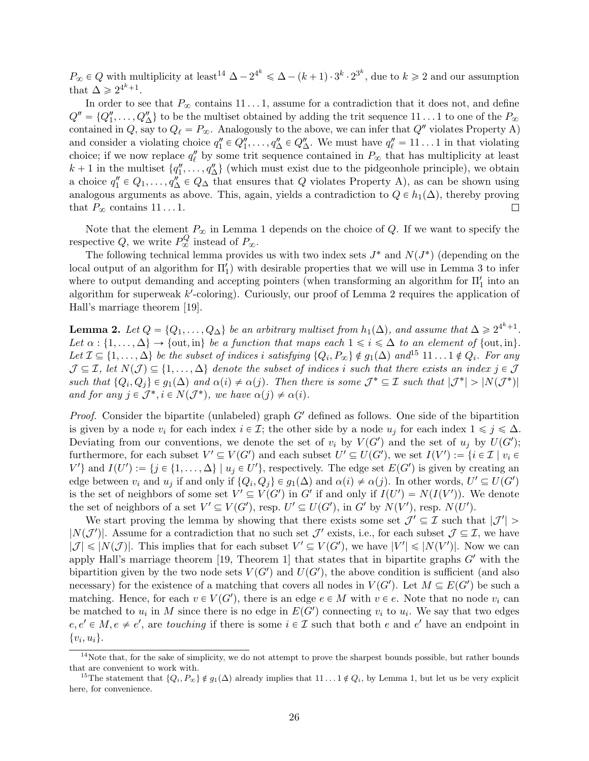$P_{\infty} \in Q$  with multiplicity at least<sup>[14](#page-0-0)</sup>  $\Delta - 2^{4^k} \leq \Delta - (k+1) \cdot 3^k \cdot 2^{3^k}$ , due to  $k \geq 2$  and our assumption that  $\Delta \geq 2^{4^k+1}$ .

In order to see that  $P_{\infty}$  contains  $11 \dots 1$ , assume for a contradiction that it does not, and define  $Q'' = \{Q''_1, \ldots, Q''_{\Delta}\}\$ to be the multiset obtained by adding the trit sequence  $11 \ldots 1$  to one of the  $P_{\infty}$ contained in Q, say to  $Q_\ell = P_\infty$ . Analogously to the above, we can infer that  $Q''$  violates Property A) and consider a violating choice  $q_1'' \in Q_1'', \ldots, q_\Delta'' \in Q_\Delta'''$ . We must have  $q_\ell'' = 11 \ldots 1$  in that violating choice; if we now replace  $q''_{\ell}$  by some trit sequence contained in  $P_{\infty}$  that has multiplicity at least  $k + 1$  in the multiset  $\{q''_1, \ldots, q''_{\Delta}\}\$  (which must exist due to the pidgeonhole principle), we obtain a choice  $q''_1 \in Q_1, \ldots, q''_{\Delta} \in Q_{\Delta}$  that ensures that Q violates Property A), as can be shown using analogous arguments as above. This, again, yields a contradiction to  $Q \in h_1(\Delta)$ , thereby proving that  $P_{\infty}$  contains 11...1.  $\Box$ 

Note that the element  $P_{\infty}$  in Lemma [1](#page-25-0) depends on the choice of Q. If we want to specify the respective Q, we write  $P^Q_{\infty}$  instead of  $P_{\infty}$ .

The following technical lemma provides us with two index sets  $J^*$  and  $N(J^*)$  (depending on the local output of an algorithm for  $\Pi'_1$ ) with desirable properties that we will use in Lemma [3](#page-28-0) to infer where to output demanding and accepting pointers (when transforming an algorithm for  $\Pi_1'$  into an algorithm for superweak k'-coloring). Curiously, our proof of Lemma [2](#page-26-0) requires the application of Hall's marriage theorem [\[19\]](#page-33-11).

<span id="page-26-0"></span>**Lemma 2.** Let  $Q = \{Q_1, \ldots, Q_{\Delta}\}\$  be an arbitrary multiset from  $h_1(\Delta)$ , and assume that  $\Delta \geq 2^{4^k+1}$ . Let  $\alpha : \{1, \ldots, \Delta\} \to \{\text{out}, \text{in}\}\$  be a function that maps each  $1 \leq i \leq \Delta$  to an element of  $\{\text{out}, \text{in}\}.$ Let  $\mathcal{I} \subseteq \{1, \ldots, \Delta\}$  be the subset of indices i satisfying  $\{Q_i, P_{\infty}\}\notin g_1(\Delta)$  and<sup>[15](#page-0-0)</sup>  $11 \ldots 1 \notin Q_i$ . For any  $\mathcal{J} \subseteq \mathcal{I}$ , let  $N(\mathcal{J}) \subseteq \{1, \ldots, \Delta\}$  denote the subset of indices i such that there exists an index  $j \in \mathcal{J}$ such that  $\{Q_i, Q_j\} \in g_1(\Delta)$  and  $\alpha(i) \neq \alpha(j)$ . Then there is some  $\mathcal{J}^* \subseteq \mathcal{I}$  such that  $|\mathcal{J}^*| > |N(\mathcal{J}^*)|$ and for any  $j \in \mathcal{J}^*, i \in N(\mathcal{J}^*)$ , we have  $\alpha(j) \neq \alpha(i)$ .

*Proof.* Consider the bipartite (unlabeled) graph  $G'$  defined as follows. One side of the bipartition is given by a node  $v_i$  for each index  $i \in \mathcal{I}$ ; the other side by a node  $u_j$  for each index  $1 \leq j \leq \Delta$ . Deviating from our conventions, we denote the set of  $v_i$  by  $V(G')$  and the set of  $u_j$  by  $U(G')$ ; furthermore, for each subset  $V' \subseteq V(G')$  and each subset  $U' \subseteq U(G')$ , we set  $I(V') := \{i \in \mathcal{I} \mid v_i \in V(G')\}$ V' and  $I(U') := \{j \in \{1, ..., \Delta\} \mid u_j \in U'\}$ , respectively. The edge set  $E(G')$  is given by creating an edge between  $v_i$  and  $u_j$  if and only if  $\{Q_i, Q_j\} \in g_1(\Delta)$  and  $\alpha(i) \neq \alpha(j)$ . In other words,  $U' \subseteq U(G')$ is the set of neighbors of some set  $V' \subseteq V(G')$  in G' if and only if  $I(U') = N(I(V'))$ . We denote the set of neighbors of a set  $V' \subseteq V(G')$ , resp.  $U' \subseteq U(G')$ , in G' by  $N(V')$ , resp.  $N(U')$ .

We start proving the lemma by showing that there exists some set  $\mathcal{J}' \subseteq \mathcal{I}$  such that  $|\mathcal{J}'|$  $|N(\mathcal{J}')|$ . Assume for a contradiction that no such set  $\mathcal{J}'$  exists, i.e., for each subset  $\mathcal{J} \subseteq \mathcal{I}$ , we have  $|\mathcal{J}| \leqslant |N(\mathcal{J})|$ . This implies that for each subset  $V' \subseteq V(G')$ , we have  $|V'| \leqslant |N(V')|$ . Now we can apply Hall's marriage theorem [\[19,](#page-33-11) Theorem 1] that states that in bipartite graphs  $G'$  with the bipartition given by the two node sets  $V(G')$  and  $U(G')$ , the above condition is sufficient (and also necessary) for the existence of a matching that covers all nodes in  $V(G')$ . Let  $M \subseteq E(G')$  be such a matching. Hence, for each  $v \in V(G')$ , there is an edge  $e \in M$  with  $v \in e$ . Note that no node  $v_i$  can be matched to  $u_i$  in M since there is no edge in  $E(G')$  connecting  $v_i$  to  $u_i$ . We say that two edges  $e, e' \in M, e \neq e'$ , are touching if there is some  $i \in \mathcal{I}$  such that both e and e' have an endpoint in  $\{v_i, u_i\}.$ 

 $14$ Note that, for the sake of simplicity, we do not attempt to prove the sharpest bounds possible, but rather bounds that are convenient to work with.

<sup>&</sup>lt;sup>15</sup>The statement that  $\{Q_i, P_\infty\} \notin g_1(\Delta)$  already implies that  $11 \dots 1 \notin Q_i$ , by Lemma [1,](#page-25-0) but let us be very explicit here, for convenience.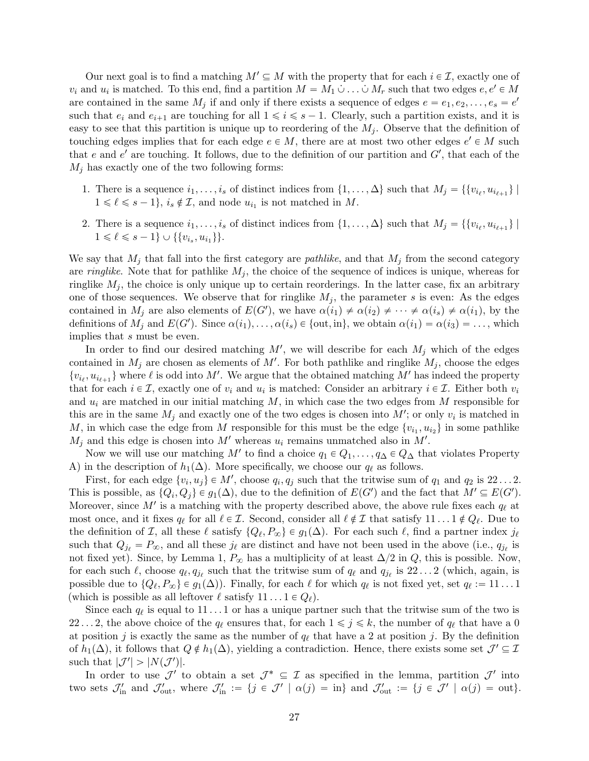Our next goal is to find a matching  $M' \subseteq M$  with the property that for each  $i \in \mathcal{I}$ , exactly one of  $v_i$  and  $u_i$  is matched. To this end, find a partition  $M = M_1 \dot{\cup} \ldots \dot{\cup} M_r$  such that two edges  $e, e' \in M$ are contained in the same  $M_j$  if and only if there exists a sequence of edges  $e = e_1, e_2, \ldots, e_s = e'$ such that  $e_i$  and  $e_{i+1}$  are touching for all  $1 \leq i \leq s - 1$ . Clearly, such a partition exists, and it is easy to see that this partition is unique up to reordering of the  $M_i$ . Observe that the definition of touching edges implies that for each edge  $e \in M$ , there are at most two other edges  $e' \in M$  such that e and e' are touching. It follows, due to the definition of our partition and  $G'$ , that each of the  $M_i$  has exactly one of the two following forms:

- 1. There is a sequence  $i_1, \ldots, i_s$  of distinct indices from  $\{1, \ldots, \Delta\}$  such that  $M_j = \{\{v_{i_\ell}, u_{i_{\ell+1}}\} \mid$  $1 \leq \ell \leq s - 1$ ,  $i_s \notin \mathcal{I}$ , and node  $u_{i_1}$  is not matched in M.
- 2. There is a sequence  $i_1, \ldots, i_s$  of distinct indices from  $\{1, \ldots, \Delta\}$  such that  $M_j = \{\{v_{i_\ell}, u_{i_{\ell+1}}\} \mid$  $1 \leq \ell \leq s - 1$   $\cup$  {{ $v_{i_s}, u_{i_1}$ }}.

We say that  $M_i$  that fall into the first category are *pathlike*, and that  $M_j$  from the second category are *ringlike*. Note that for pathlike  $M_j$ , the choice of the sequence of indices is unique, whereas for ringlike  $M_j$ , the choice is only unique up to certain reorderings. In the latter case, fix an arbitrary one of those sequences. We observe that for ringlike  $M_i$ , the parameter s is even: As the edges contained in  $M_j$  are also elements of  $E(G')$ , we have  $\alpha(i_1) \neq \alpha(i_2) \neq \cdots \neq \alpha(i_s) \neq \alpha(i_1)$ , by the definitions of  $M_j$  and  $E(G')$ . Since  $\alpha(i_1), \ldots, \alpha(i_s) \in \{out, in\}$ , we obtain  $\alpha(i_1) = \alpha(i_3) = \ldots$ , which implies that s must be even.

In order to find our desired matching  $M'$ , we will describe for each  $M_j$  which of the edges contained in  $M_j$  are chosen as elements of M'. For both pathlike and ringlike  $M_j$ , choose the edges  $\{v_{i_\ell}, u_{i_{\ell+1}}\}$  where  $\ell$  is odd into M'. We argue that the obtained matching M' has indeed the property that for each  $i \in \mathcal{I}$ , exactly one of  $v_i$  and  $u_i$  is matched: Consider an arbitrary  $i \in \mathcal{I}$ . Either both  $v_i$ and  $u_i$  are matched in our initial matching M, in which case the two edges from M responsible for this are in the same  $M_j$  and exactly one of the two edges is chosen into  $M'$ ; or only  $v_i$  is matched in M, in which case the edge from M responsible for this must be the edge  $\{v_{i_1}, u_{i_2}\}\$  in some pathlike  $M_j$  and this edge is chosen into  $M'$  whereas  $u_i$  remains unmatched also in  $M'$ .

Now we will use our matching M' to find a choice  $q_1 \in Q_1, \ldots, q_\Delta \in Q_\Delta$  that violates Property A) in the description of  $h_1(\Delta)$ . More specifically, we choose our  $q_\ell$  as follows.

First, for each edge  $\{v_i, u_j\} \in M'$ , choose  $q_i, q_j$  such that the tritwise sum of  $q_1$  and  $q_2$  is  $22...2$ . This is possible, as  $\{Q_i, Q_j\} \in g_1(\Delta)$ , due to the definition of  $E(G')$  and the fact that  $M' \subseteq E(G')$ . Moreover, since  $M'$  is a matching with the property described above, the above rule fixes each  $q_{\ell}$  at most once, and it fixes  $q_\ell$  for all  $\ell \in \mathcal{I}$ . Second, consider all  $\ell \notin \mathcal{I}$  that satisfy  $11 \ldots 1 \notin Q_\ell$ . Due to the definition of *I*, all these  $\ell$  satisfy  $\{Q_\ell, P_\infty\} \in g_1(\Delta)$ . For each such  $\ell$ , find a partner index  $j_\ell$ such that  $Q_{j_\ell} = P_{\infty}$ , and all these  $j_\ell$  are distinct and have not been used in the above (i.e.,  $q_{j_\ell}$  is not fixed yet). Since, by Lemma [1,](#page-25-0)  $P_{\infty}$  has a multiplicity of at least  $\Delta/2$  in Q, this is possible. Now, for each such  $\ell$ , choose  $q_{\ell}, q_{j_{\ell}}$  such that the tritwise sum of  $q_{\ell}$  and  $q_{j_{\ell}}$  is  $22...2$  (which, again, is possible due to  $\{Q_\ell, P_\infty\} \in g_1(\Delta)$ . Finally, for each  $\ell$  for which  $q_\ell$  is not fixed yet, set  $q_\ell := 11 \dots 1$ (which is possible as all leftover  $\ell$  satisfy  $11 \ldots 1 \in Q_{\ell}$ ).

Since each  $q_\ell$  is equal to  $11 \ldots 1$  or has a unique partner such that the tritwise sum of the two is 22...2, the above choice of the  $q_\ell$  ensures that, for each  $1 \leq j \leq k$ , the number of  $q_\ell$  that have a 0 at position j is exactly the same as the number of  $q_\ell$  that have a 2 at position j. By the definition of  $h_1(\Delta)$ , it follows that  $Q \notin h_1(\Delta)$ , yielding a contradiction. Hence, there exists some set  $\mathcal{J}' \subseteq \mathcal{I}$ such that  $|\mathcal{J}'| > |N(\mathcal{J}')|$ .

In order to use  $\mathcal{J}'$  to obtain a set  $\mathcal{J}^* \subseteq \mathcal{I}$  as specified in the lemma, partition  $\mathcal{J}'$  into two sets  $\mathcal{J}'_{in}$  and  $\mathcal{J}'_{out}$ , where  $\mathcal{J}'_{in} := \{j \in \mathcal{J}' \mid \alpha(j) = in\}$  and  $\mathcal{J}'_{out} := \{j \in \mathcal{J}' \mid \alpha(j) = out\}$ .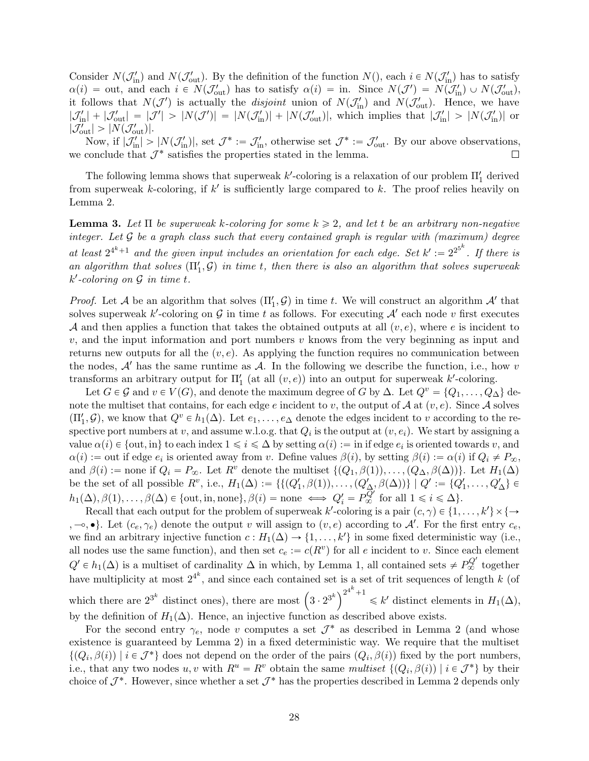Consider  $N(\mathcal{J}'_{\text{in}})$  and  $N(\mathcal{J}'_{\text{out}})$ . By the definition of the function  $N($ ), each  $i \in N(\mathcal{J}'_{\text{in}})$  has to satisfy  $\alpha(i) = \text{out}$ , and each  $i \in N(\mathcal{J}_{\text{out}}')$  has to satisfy  $\alpha(i) = \text{in}$ . Since  $N(\mathcal{J}') = N(\mathcal{J}_{\text{in}}') \cup N(\mathcal{J}_{\text{out}}')$ , it follows that  $N(\mathcal{J}')$  is actually the *disjoint* union of  $N(\mathcal{J}'_{\text{in}})$  and  $N(\mathcal{J}'_{\text{out}})$ . Hence, we have  $|\mathcal{J}'_{in}| + |\mathcal{J}'_{out}| = |\mathcal{J}'| > |N(\mathcal{J}')| = |N(\mathcal{J}'_{in})| + |N(\mathcal{J}'_{out})|$ , which implies that  $|\mathcal{J}'_{in}| > |N(\mathcal{J}'_{in})|$  or  $|\mathcal{J}_{\text{out}}'| > |N(\mathcal{J}_{\text{out}}')|.$ 

Now, if  $|\mathcal{J}'_{in}| > |N(\mathcal{J}'_{in})|$ , set  $\mathcal{J}^* := \mathcal{J}'_{in}$ , otherwise set  $\mathcal{J}^* := \mathcal{J}'_{out}$ . By our above observations, we conclude that  $\mathcal{J}^*$  satisfies the properties stated in the lemma.  $\Box$ 

The following lemma shows that superweak  $k'$ -coloring is a relaxation of our problem  $\Pi'_1$  derived from superweak k-coloring, if  $k'$  is sufficiently large compared to k. The proof relies heavily on Lemma [2.](#page-26-0)

<span id="page-28-0"></span>**Lemma 3.** Let  $\Pi$  be superweak k-coloring for some  $k \geq 2$ , and let t be an arbitrary non-negative integer. Let  $G$  be a graph class such that every contained graph is regular with (maximum) degree at least  $2^{4^k+1}$  and the given input includes an orientation for each edge. Set  $k' := 2^{2^{5^k}}$ . If there is an algorithm that solves  $(\Pi'_1, \mathcal{G})$  in time t, then there is also an algorithm that solves superweak  $k'$ -coloring on  $\mathcal G$  in time t.

*Proof.* Let A be an algorithm that solves  $(\Pi'_1, \mathcal{G})$  in time t. We will construct an algorithm  $\mathcal{A}'$  that solves superweak k'-coloring on G in time t as follows. For executing  $A'$  each node v first executes A and then applies a function that takes the obtained outputs at all  $(v, e)$ , where e is incident to  $v$ , and the input information and port numbers  $v$  knows from the very beginning as input and returns new outputs for all the  $(v, e)$ . As applying the function requires no communication between the nodes,  $A'$  has the same runtime as  $A$ . In the following we describe the function, i.e., how v transforms an arbitrary output for  $\Pi_1'$  (at all  $(v, e)$ ) into an output for superweak k'-coloring.

Let  $G \in \mathcal{G}$  and  $v \in V(G)$ , and denote the maximum degree of G by  $\Delta$ . Let  $Q^v = \{Q_1, \ldots, Q_\Delta\}$  denote the multiset that contains, for each edge e incident to v, the output of A at  $(v, e)$ . Since A solves  $(\Pi'_1, \mathcal{G})$ , we know that  $Q^v \in h_1(\Delta)$ . Let  $e_1, \ldots, e_\Delta$  denote the edges incident to v according to the respective port numbers at v, and assume w.l.o.g. that  $Q_i$  is the output at  $(v, e_i)$ . We start by assigning a value  $\alpha(i) \in \{out, in\}$  to each index  $1 \leq i \leq \Delta$  by setting  $\alpha(i) :=$  in if edge  $e_i$  is oriented towards v, and  $\alpha(i) := \text{out if edge } e_i \text{ is oriented away from } v. \text{ Define values } \beta(i), \text{ by setting } \beta(i) := \alpha(i) \text{ if } Q_i \neq P_{\infty},$ and  $\beta(i) :=$  none if  $Q_i = P_{\infty}$ . Let  $R^v$  denote the multiset  $\{(Q_1, \beta(1)), \ldots, (Q_{\Delta}, \beta(\Delta))\}$ . Let  $H_1(\Delta)$ be the set of all possible  $R^v$ , i.e.,  $H_1(\Delta) := \{ \{ (Q'_1, \beta(1)), \ldots, (Q'_{\Delta}, \beta(\Delta)) \} \mid Q' := \{ Q'_1, \ldots, Q'_{\Delta} \} \in$  $h_1(\Delta), \beta(1), \ldots, \beta(\Delta) \in \{out, in, none\}, \beta(i) = none \iff Q_i' = P_{\infty}^{Q'}$  for all  $1 \leq i \leq \Delta\}.$ 

Recall that each output for the problem of superweak  $k'$ -coloring is a pair  $(c, \gamma) \in \{1, \ldots, k'\} \times \{\rightarrow\}$  $(-\infty, \bullet)$ . Let  $(c_e, \gamma_e)$  denote the output v will assign to  $(v, e)$  according to A'. For the first entry  $c_e$ , we find an arbitrary injective function  $c: H_1(\Delta) \to \{1, \ldots, k'\}$  in some fixed deterministic way (i.e., all nodes use the same function), and then set  $c_e := c(R^v)$  for all e incident to v. Since each element  $Q' \in h_1(\Delta)$  is a multiset of cardinality  $\Delta$  in which, by Lemma [1,](#page-25-0) all contained sets  $\neq P_{\infty}^{Q'}$  together have multiplicity at most  $2^{4^k}$ , and since each contained set is a set of trit sequences of length k (of which there are  $2^{3^k}$  distinct ones), there are most  $\left(3 \cdot 2^{3^k}\right)^{2^{4^k}+1}$  $\leq k'$  distinct elements in  $H_1(\Delta)$ , by the definition of  $H_1(\Delta)$ . Hence, an injective function as described above exists.

For the second entry  $\gamma_e$ , node v computes a set  $\mathcal{J}^*$  as described in Lemma [2](#page-26-0) (and whose existence is guaranteed by Lemma [2\)](#page-26-0) in a fixed deterministic way. We require that the multiset  $\{(Q_i, \beta(i)) \mid i \in \mathcal{J}^*\}\)$  does not depend on the order of the pairs  $(Q_i, \beta(i))$  fixed by the port numbers, i.e., that any two nodes  $u, v$  with  $R^u = R^v$  obtain the same multiset  $\{(Q_i, \beta(i)) \mid i \in \mathcal{J}^*\}$  by their choice of  $\mathcal{J}^*$ . However, since whether a set  $\mathcal{J}^*$  has the properties described in Lemma [2](#page-26-0) depends only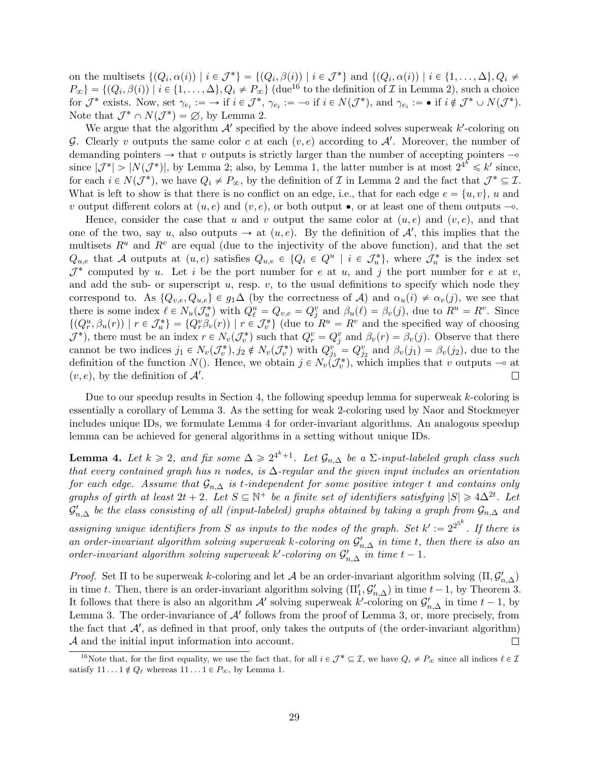on the multisets  $\{(Q_i, \alpha(i)) \mid i \in \mathcal{J}^*\} = \{(Q_i, \beta(i)) \mid i \in \mathcal{J}^*\}$  and  $\{(Q_i, \alpha(i)) \mid i \in \{1, \ldots, \Delta\}, Q_i \neq \emptyset\}$  $P_{\infty}$ } = { $(Q_i, \beta(i))$  |  $i \in \{1, ..., \Delta\}, Q_i \neq P_{\infty}$ } (due<sup>[16](#page-0-0)</sup> to the definition of  $\mathcal I$  in Lemma [2\)](#page-26-0), such a choice for  $\mathcal{J}^*$  exists. Now, set  $\gamma_{e_i} := \to$  if  $i \in \mathcal{J}^*, \gamma_{e_i} := -\circ$  if  $i \in N(\mathcal{J}^*)$ , and  $\gamma_{e_i} := \bullet$  if  $i \notin \mathcal{J}^* \cup N(\mathcal{J}^*)$ . Note that  $\mathcal{J}^* \cap N(\mathcal{J}^*) = \emptyset$ , by Lemma [2.](#page-26-0)

We argue that the algorithm  $A'$  specified by the above indeed solves superweak  $k'$ -coloring on G. Clearly v outputs the same color c at each  $(v, e)$  according to  $\mathcal{A}'$ . Moreover, the number of demanding pointers  $\rightarrow$  that v outputs is strictly larger than the number of accepting pointers  $\rightarrow$ since  $|\mathcal{J}^*| > |N(\mathcal{J}^*)|$ , by Lemma [2;](#page-26-0) also, by Lemma [1,](#page-25-0) the latter number is at most  $2^{4^k} \leq k'$  since, for each  $i \in N(\mathcal{J}^*)$ , we have  $Q_i \neq P_{\infty}$ , by the definition of  $\mathcal I$  in Lemma [2](#page-26-0) and the fact that  $\mathcal{J}^* \subseteq \mathcal{I}$ . What is left to show is that there is no conflict on an edge, i.e., that for each edge  $e = \{u, v\}$ , u and v output different colors at  $(u, e)$  and  $(v, e)$ , or both output  $\bullet$ , or at least one of them outputs  $-\circ$ .

Hence, consider the case that u and v output the same color at  $(u, e)$  and  $(v, e)$ , and that one of the two, say u, also outputs  $\rightarrow$  at  $(u, e)$ . By the definition of  $\mathcal{A}'$ , this implies that the multisets  $R^u$  and  $R^v$  are equal (due to the injectivity of the above function), and that the set  $Q_{u,e}$  that A outputs at  $(u,e)$  satisfies  $Q_{u,e} \in \{Q_i \in Q^u \mid i \in \mathcal{J}_u^*\}$ , where  $\mathcal{J}_u^*$  is the index set  $\mathcal{J}^*$  computed by u. Let i be the port number for e at u, and j the port number for e at v, and add the sub- or superscript  $u$ , resp.  $v$ , to the usual definitions to specify which node they correspond to. As  $\{Q_{v,e}, Q_{u,e}\}\in g_1\Delta$  (by the correctness of A) and  $\alpha_u(i) \neq \alpha_v(j)$ , we see that there is some index  $\ell \in N_u(\mathcal{J}_u^*)$  with  $Q_{\ell}^u = Q_{v,e} = Q_j^v$  and  $\beta_u(\ell) = \beta_v(j)$ , due to  $R^u = R^v$ . Since  $\{(Q_r^u, \beta_u(r)) \mid r \in \mathcal{J}_u^*\} = \{Q_r^v, \beta_v(r)\}\mid r \in \mathcal{J}_v^*\}$  (due to  $R^u = R^v$  and the specified way of choosing  $J^*$ ), there must be an index  $r \in N_v(\mathcal{J}_v^*)$  such that  $Q_r^v = Q_j^v$  and  $\beta_v(r) = \beta_v(j)$ . Observe that there cannot be two indices  $j_1 \in N_v(\mathcal{J}_v^*), j_2 \notin N_v(\mathcal{J}_v^*)$  with  $Q_{j_1}^v = Q_{j_2}^v$  and  $\beta_v(j_1) = \beta_v(j_2)$ , due to the definition of the function  $N()$ . Hence, we obtain  $j \in N_v(\mathcal{J}_v^*)$ , which implies that v outputs  $\multimap$  at  $(v, e)$ , by the definition of  $\mathcal{A}'$ .  $\Box$ 

Due to our speedup results in Section [4,](#page-10-2) the following speedup lemma for superweak  $k$ -coloring is essentially a corollary of Lemma [3.](#page-28-0) As the setting for weak 2-coloring used by Naor and Stockmeyer includes unique IDs, we formulate Lemma [4](#page-29-0) for order-invariant algorithms. An analogous speedup lemma can be achieved for general algorithms in a setting without unique IDs.

<span id="page-29-0"></span>**Lemma 4.** Let  $k \geq 2$ , and fix some  $\Delta \geq 2^{4k+1}$ . Let  $\mathcal{G}_{n,\Delta}$  be a  $\Sigma$ -input-labeled graph class such that every contained graph has n nodes, is  $\Delta$ -regular and the given input includes an orientation for each edge. Assume that  $\mathcal{G}_{n,\Delta}$  is t-independent for some positive integer t and contains only graphs of girth at least  $2t + 2$ . Let  $S \subseteq \mathbb{N}^+$  be a finite set of identifiers satisfying  $|S| \geq 4\Delta^{2t}$ . Let  $\mathcal{G}'_{n,\Delta}$  be the class consisting of all (input-labeled) graphs obtained by taking a graph from  $\mathcal{G}_{n,\Delta}$  and assigning unique identifiers from S as inputs to the nodes of the graph. Set  $k' := 2^{2^{5^k}}$ . If there is an order-invariant algorithm solving superweak k-coloring on  $\mathcal{G}'_{n,\Delta}$  in time t, then there is also an order-invariant algorithm solving superweak k'-coloring on  $\mathcal{G}'_{n,\Delta}$  in time  $t-1$ .

*Proof.* Set  $\Pi$  to be superweak k-coloring and let A be an order-invariant algorithm solving  $(\Pi, \mathcal{G}'_{n,\Delta})$ in time t. Then, there is an order-invariant algorithm solving  $(\Pi'_1, \mathcal{G}'_{n,\Delta})$  in time  $t-1$ , by Theorem [3.](#page-15-0) It follows that there is also an algorithm  $\mathcal{A}'$  solving superweak k'-coloring on  $\mathcal{G}'_{n,\Delta}$  in time  $t-1$ , by Lemma [3.](#page-28-0) The order-invariance of  $A'$  follows from the proof of Lemma [3,](#page-28-0) or, more precisely, from the fact that  $A'$ , as defined in that proof, only takes the outputs of (the order-invariant algorithm) A and the initial input information into account. П

<sup>&</sup>lt;sup>16</sup>Note that, for the first equality, we use the fact that, for all  $i \in \mathcal{J}^* \subseteq \mathcal{I}$ , we have  $Q_i \neq P_{\infty}$  since all indices  $\ell \in \mathcal{I}$ satisfy  $11 \dots 1 \notin Q_\ell$  whereas  $11 \dots 1 \in P_\infty$ , by Lemma [1.](#page-25-0)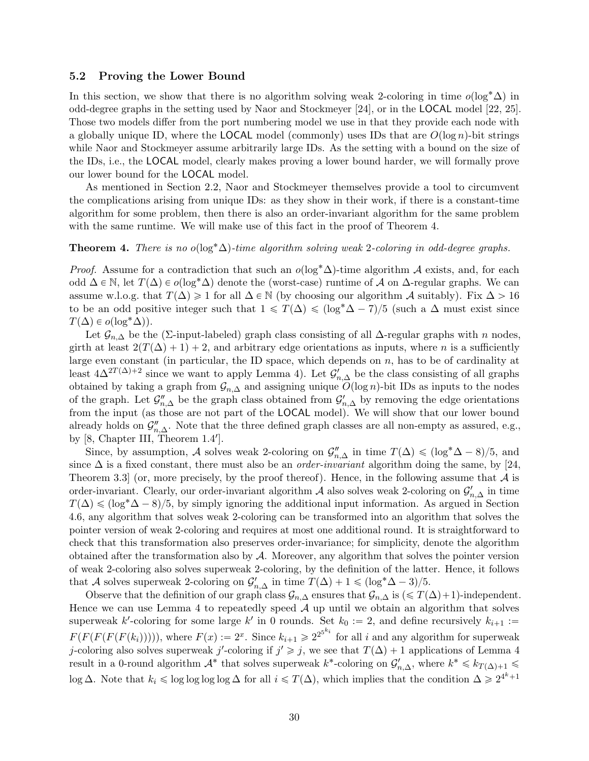#### <span id="page-30-0"></span>5.2 Proving the Lower Bound

In this section, we show that there is no algorithm solving weak 2-coloring in time  $o(\log^* \Delta)$  in odd-degree graphs in the setting used by Naor and Stockmeyer [\[24\]](#page-33-0), or in the LOCAL model [\[22,](#page-33-1) [25\]](#page-33-2). Those two models differ from the port numbering model we use in that they provide each node with a globally unique ID, where the **LOCAL** model (commonly) uses IDs that are  $O(\log n)$ -bit strings while Naor and Stockmeyer assume arbitrarily large IDs. As the setting with a bound on the size of the IDs, i.e., the LOCAL model, clearly makes proving a lower bound harder, we will formally prove our lower bound for the LOCAL model.

As mentioned in Section [2.2,](#page-4-0) Naor and Stockmeyer themselves provide a tool to circumvent the complications arising from unique IDs: as they show in their work, if there is a constant-time algorithm for some problem, then there is also an order-invariant algorithm for the same problem with the same runtime. We will make use of this fact in the proof of Theorem [4.](#page-30-1)

#### <span id="page-30-1"></span>**Theorem 4.** There is no o( $\log^* \Delta$ )-time algorithm solving weak 2-coloring in odd-degree graphs.

*Proof.* Assume for a contradiction that such an  $o(\log^* \Delta)$ -time algorithm A exists, and, for each odd  $\Delta \in \mathbb{N}$ , let  $T(\Delta) \in o(\log^* \Delta)$  denote the (worst-case) runtime of A on  $\Delta$ -regular graphs. We can assume w.l.o.g. that  $T(\Delta) \geq 1$  for all  $\Delta \in \mathbb{N}$  (by choosing our algorithm A suitably). Fix  $\Delta > 16$ to be an odd positive integer such that  $1 \leq T(\Delta) \leq (\log^* \Delta - 7)/5$  (such a  $\Delta$  must exist since  $T(\Delta) \in o(\log^* \Delta)$ .

Let  $\mathcal{G}_{n,\Delta}$  be the (∑-input-labeled) graph class consisting of all  $\Delta$ -regular graphs with n nodes, girth at least  $2(T(\Delta) + 1) + 2$ , and arbitrary edge orientations as inputs, where n is a sufficiently large even constant (in particular, the ID space, which depends on  $n$ , has to be of cardinality at least  $4\Delta^{2T(\Delta)+2}$  since we want to apply Lemma [4\)](#page-29-0). Let  $\mathcal{G}'_{n,\Delta}$  be the class consisting of all graphs obtained by taking a graph from  $\mathcal{G}_{n,\Delta}$  and assigning unique  $O(\log n)$ -bit IDs as inputs to the nodes of the graph. Let  $\mathcal{G}_{n,\Delta}''$  be the graph class obtained from  $\mathcal{G}_{n,\Delta}'$  by removing the edge orientations from the input (as those are not part of the LOCAL model). We will show that our lower bound already holds on  $\mathcal{G}_{n,\Delta}''$ . Note that the three defined graph classes are all non-empty as assured, e.g., by [\[8,](#page-32-12) Chapter III, Theorem 1.4'].

Since, by assumption, A solves weak 2-coloring on  $\mathcal{G}_{n,\Delta}''$  in time  $T(\Delta) \leq (\log^* \Delta - 8)/5$ , and since  $\Delta$  is a fixed constant, there must also be an *order-invariant* algorithm doing the same, by [\[24,](#page-33-0) Theorem 3.3 (or, more precisely, by the proof thereof). Hence, in the following assume that  $\mathcal A$  is order-invariant. Clearly, our order-invariant algorithm  $\mathcal A$  also solves weak 2-coloring on  $\mathcal G_{n,\Delta}'$  in time  $T(\Delta) \leq (\log^* \Delta - 8)/5$ , by simply ignoring the additional input information. As argued in Section [4.6,](#page-20-0) any algorithm that solves weak 2-coloring can be transformed into an algorithm that solves the pointer version of weak 2-coloring and requires at most one additional round. It is straightforward to check that this transformation also preserves order-invariance; for simplicity, denote the algorithm obtained after the transformation also by A. Moreover, any algorithm that solves the pointer version of weak 2-coloring also solves superweak 2-coloring, by the definition of the latter. Hence, it follows that A solves superweak 2-coloring on  $\mathcal{G}'_{n,\Delta}$  in time  $T(\Delta) + 1 \leq (\log^* \Delta - 3)/5$ .

Observe that the definition of our graph class  $\mathcal{G}_{n,\Delta}$  ensures that  $\mathcal{G}_{n,\Delta}$  is  $(\leq T(\Delta)+1)$ -independent. Hence we can use Lemma [4](#page-29-0) to repeatedly speed  $A$  up until we obtain an algorithm that solves superweak k'-coloring for some large k' in 0 rounds. Set  $k_0 := 2$ , and define recursively  $k_{i+1} :=$  $F(F(F(F(k_i))))),$  where  $F(x) := 2^x$ . Since  $k_{i+1} \geq 2^{2^{5^{k_i}}}$  for all i and any algorithm for superweak j-coloring also solves superweak j'-coloring if  $j' \geq j$ , we see that  $T(\Delta) + 1$  applications of Lemma [4](#page-29-0) result in a 0-round algorithm  $\mathcal{A}^*$  that solves superweak  $k^*$ -coloring on  $\mathcal{G}'_{n,\Delta}$ , where  $k^* \leq k_{T(\Delta)+1} \leq$ log ∆. Note that  $k_i \leq \log \log \log \Delta$  for all  $i \leq T(\Delta)$ , which implies that the condition  $\Delta \geq 2^{4^k+1}$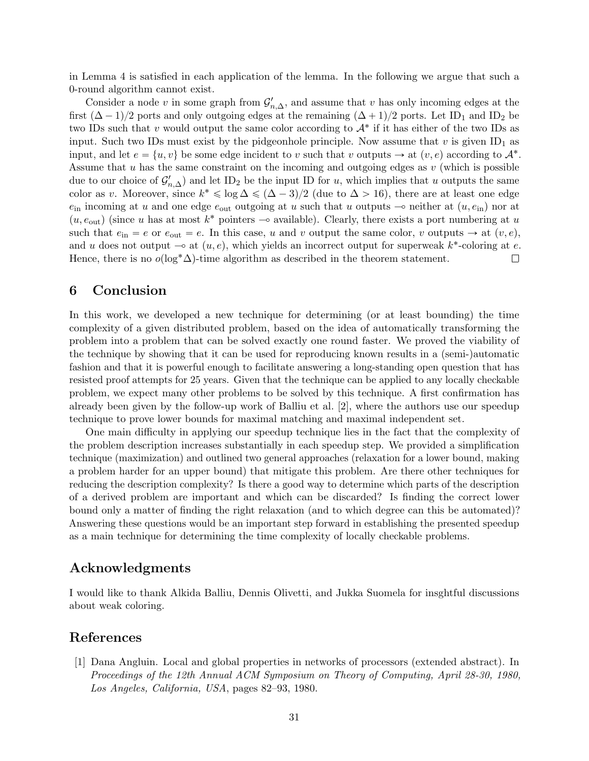in Lemma [4](#page-29-0) is satisfied in each application of the lemma. In the following we argue that such a 0-round algorithm cannot exist.

Consider a node v in some graph from  $\mathcal{G}'_{n,\Delta}$ , and assume that v has only incoming edges at the first  $(\Delta - 1)/2$  ports and only outgoing edges at the remaining  $(\Delta + 1)/2$  ports. Let ID<sub>1</sub> and ID<sub>2</sub> be two IDs such that v would output the same color according to  $A^*$  if it has either of the two IDs as input. Such two IDs must exist by the pidgeonhole principle. Now assume that  $v$  is given ID<sub>1</sub> as input, and let  $e = \{u, v\}$  be some edge incident to v such that v outputs  $\rightarrow$  at  $(v, e)$  according to  $\mathcal{A}^*$ . Assume that  $u$  has the same constraint on the incoming and outgoing edges as  $v$  (which is possible due to our choice of  $\mathcal{G}'_{n,\Delta}$  and let ID<sub>2</sub> be the input ID for u, which implies that u outputs the same color as v. Moreover, since  $k^* \leq \log \Delta \leq (\Delta - 3)/2$  (due to  $\Delta > 16$ ), there are at least one edge  $e_{\text{in}}$  incoming at u and one edge  $e_{\text{out}}$  outgoing at u such that u outputs  $\sim$  neither at  $(u, e_{\text{in}})$  nor at  $(u, e_{\text{out}})$  (since u has at most  $k^*$  pointers  $\sim$  available). Clearly, there exists a port numbering at u such that  $e_{\text{in}} = e$  or  $e_{\text{out}} = e$ . In this case, u and v output the same color, v outputs  $\rightarrow$  at  $(v, e)$ , and u does not output  $\multimap$  at  $(u, e)$ , which yields an incorrect output for superweak  $k^*$ -coloring at e. Hence, there is no  $o(\log^* \Delta)$ -time algorithm as described in the theorem statement.  $\Box$ 

## 6 Conclusion

In this work, we developed a new technique for determining (or at least bounding) the time complexity of a given distributed problem, based on the idea of automatically transforming the problem into a problem that can be solved exactly one round faster. We proved the viability of the technique by showing that it can be used for reproducing known results in a (semi-)automatic fashion and that it is powerful enough to facilitate answering a long-standing open question that has resisted proof attempts for 25 years. Given that the technique can be applied to any locally checkable problem, we expect many other problems to be solved by this technique. A first confirmation has already been given by the follow-up work of Balliu et al. [\[2\]](#page-32-2), where the authors use our speedup technique to prove lower bounds for maximal matching and maximal independent set.

One main difficulty in applying our speedup technique lies in the fact that the complexity of the problem description increases substantially in each speedup step. We provided a simplification technique (maximization) and outlined two general approaches (relaxation for a lower bound, making a problem harder for an upper bound) that mitigate this problem. Are there other techniques for reducing the description complexity? Is there a good way to determine which parts of the description of a derived problem are important and which can be discarded? Is finding the correct lower bound only a matter of finding the right relaxation (and to which degree can this be automated)? Answering these questions would be an important step forward in establishing the presented speedup as a main technique for determining the time complexity of locally checkable problems.

## Acknowledgments

I would like to thank Alkida Balliu, Dennis Olivetti, and Jukka Suomela for insghtful discussions about weak coloring.

## References

<span id="page-31-0"></span>[1] Dana Angluin. Local and global properties in networks of processors (extended abstract). In Proceedings of the 12th Annual ACM Symposium on Theory of Computing, April 28-30, 1980, Los Angeles, California, USA, pages 82–93, 1980.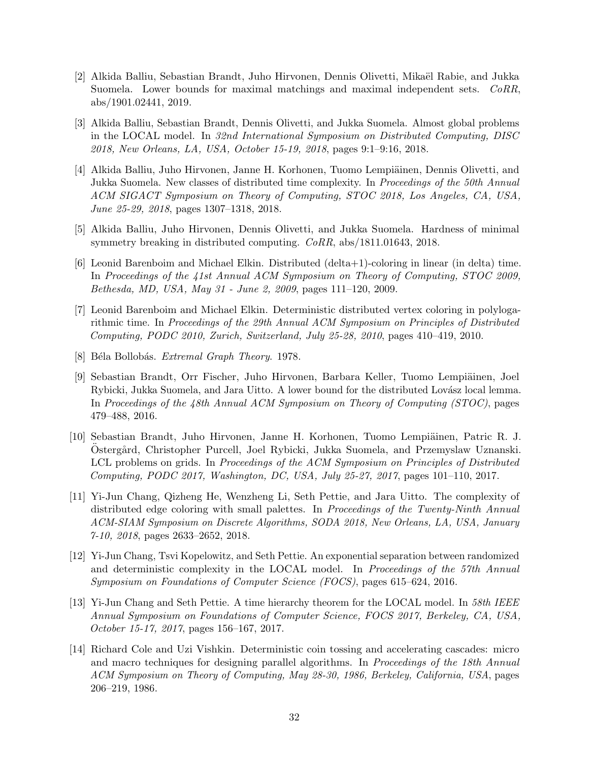- <span id="page-32-2"></span>[2] Alkida Balliu, Sebastian Brandt, Juho Hirvonen, Dennis Olivetti, Mikaël Rabie, and Jukka Suomela. Lower bounds for maximal matchings and maximal independent sets. CoRR, abs/1901.02441, 2019.
- <span id="page-32-9"></span>[3] Alkida Balliu, Sebastian Brandt, Dennis Olivetti, and Jukka Suomela. Almost global problems in the LOCAL model. In 32nd International Symposium on Distributed Computing, DISC 2018, New Orleans, LA, USA, October 15-19, 2018, pages 9:1–9:16, 2018.
- <span id="page-32-10"></span>[4] Alkida Balliu, Juho Hirvonen, Janne H. Korhonen, Tuomo Lempiäinen, Dennis Olivetti, and Jukka Suomela. New classes of distributed time complexity. In Proceedings of the 50th Annual ACM SIGACT Symposium on Theory of Computing, STOC 2018, Los Angeles, CA, USA, June 25-29, 2018, pages 1307–1318, 2018.
- <span id="page-32-6"></span>[5] Alkida Balliu, Juho Hirvonen, Dennis Olivetti, and Jukka Suomela. Hardness of minimal symmetry breaking in distributed computing. CoRR, abs/1811.01643, 2018.
- <span id="page-32-7"></span>[6] Leonid Barenboim and Michael Elkin. Distributed (delta+1)-coloring in linear (in delta) time. In Proceedings of the 41st Annual ACM Symposium on Theory of Computing, STOC 2009, Bethesda, MD, USA, May 31 - June 2, 2009, pages 111–120, 2009.
- <span id="page-32-8"></span>[7] Leonid Barenboim and Michael Elkin. Deterministic distributed vertex coloring in polylogarithmic time. In Proceedings of the 29th Annual ACM Symposium on Principles of Distributed Computing, PODC 2010, Zurich, Switzerland, July 25-28, 2010, pages 410–419, 2010.
- <span id="page-32-12"></span>[8] Béla Bollobás. *Extremal Graph Theory*. 1978.
- <span id="page-32-0"></span>[9] Sebastian Brandt, Orr Fischer, Juho Hirvonen, Barbara Keller, Tuomo Lempiäinen, Joel Rybicki, Jukka Suomela, and Jara Uitto. A lower bound for the distributed Lovász local lemma. In Proceedings of the 48th Annual ACM Symposium on Theory of Computing (STOC), pages 479–488, 2016.
- <span id="page-32-11"></span>[10] Sebastian Brandt, Juho Hirvonen, Janne H. Korhonen, Tuomo Lempiäinen, Patric R. J. Ostergård, Christopher Purcell, Joel Rybicki, Jukka Suomela, and Przemyslaw Uznanski. LCL problems on grids. In Proceedings of the ACM Symposium on Principles of Distributed Computing, PODC 2017, Washington, DC, USA, July 25-27, 2017, pages 101–110, 2017.
- <span id="page-32-5"></span>[11] Yi-Jun Chang, Qizheng He, Wenzheng Li, Seth Pettie, and Jara Uitto. The complexity of distributed edge coloring with small palettes. In Proceedings of the Twenty-Ninth Annual ACM-SIAM Symposium on Discrete Algorithms, SODA 2018, New Orleans, LA, USA, January 7-10, 2018, pages 2633–2652, 2018.
- <span id="page-32-3"></span>[12] Yi-Jun Chang, Tsvi Kopelowitz, and Seth Pettie. An exponential separation between randomized and deterministic complexity in the LOCAL model. In Proceedings of the 57th Annual Symposium on Foundations of Computer Science (FOCS), pages 615–624, 2016.
- <span id="page-32-4"></span>[13] Yi-Jun Chang and Seth Pettie. A time hierarchy theorem for the LOCAL model. In 58th IEEE Annual Symposium on Foundations of Computer Science, FOCS 2017, Berkeley, CA, USA, October 15-17, 2017, pages 156–167, 2017.
- <span id="page-32-1"></span>[14] Richard Cole and Uzi Vishkin. Deterministic coin tossing and accelerating cascades: micro and macro techniques for designing parallel algorithms. In *Proceedings of the 18th Annual* ACM Symposium on Theory of Computing, May 28-30, 1986, Berkeley, California, USA, pages 206–219, 1986.